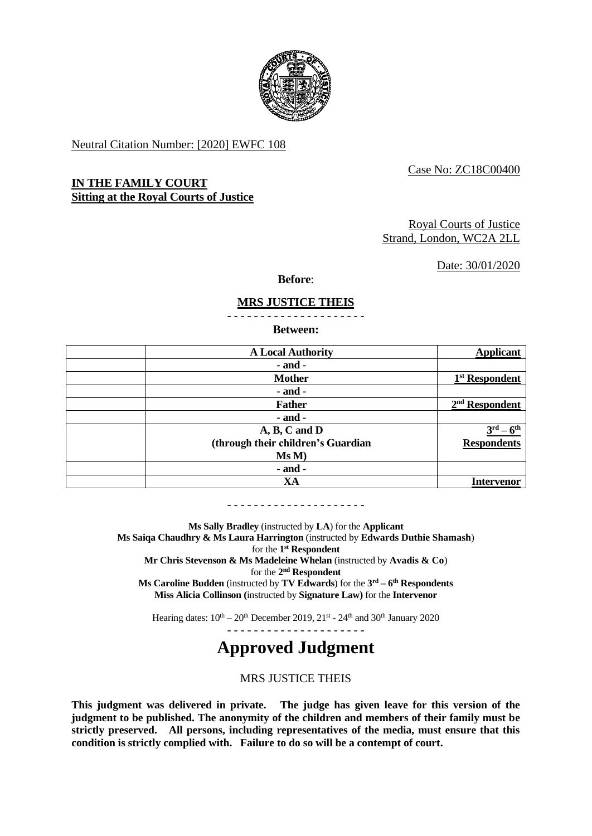

Neutral Citation Number: [2020] EWFC 108

## Case No: ZC18C00400

# **IN THE FAMILY COURT Sitting at the Royal Courts of Justice**

## Royal Courts of Justice Strand, London, WC2A 2LL

Date: 30/01/2020

**Before**:

# **MRS JUSTICE THEIS**

- - - - - - - - - - - - - - - - - - - - -

**Between:**

| <b>A Local Authority</b>           | <b>Applicant</b>           |
|------------------------------------|----------------------------|
| $-$ and $-$                        |                            |
| <b>Mother</b>                      | 1 <sup>st</sup> Respondent |
| $-$ and $-$                        |                            |
| <b>Father</b>                      | $2nd$ Respondent           |
| $-$ and $-$                        |                            |
| $A, B, C$ and $D$                  | 2rd                        |
| (through their children's Guardian | <b>Respondents</b>         |
| Ms M)                              |                            |
| $-$ and $-$                        |                            |
| XA                                 | Intervenor                 |

- - - - - - - - - - - - - - - - - - - - -

**Ms Sally Bradley** (instructed by **LA**) for the **Applicant Ms Saiqa Chaudhry & Ms Laura Harrington** (instructed by **Edwards Duthie Shamash**) for the **1 st Respondent Mr Chris Stevenson & Ms Madeleine Whelan** (instructed by **Avadis & Co**) for the 2<sup>nd</sup> Respondent **Ms Caroline Budden** (instructed by **TV Edwards**) for the **3 rd – 6 th Respondents Miss Alicia Collinson (**instructed by **Signature Law)** for the **Intervenor** 

Hearing dates:  $10^{th} - 20^{th}$  December 2019,  $21^{st}$  -  $24^{th}$  and  $30^{th}$  January 2020

- - - - - - - - - - - - - - - - - - - - -

# **Approved Judgment**

MRS JUSTICE THEIS

**This judgment was delivered in private. The judge has given leave for this version of the judgment to be published. The anonymity of the children and members of their family must be strictly preserved. All persons, including representatives of the media, must ensure that this condition is strictly complied with. Failure to do so will be a contempt of court.**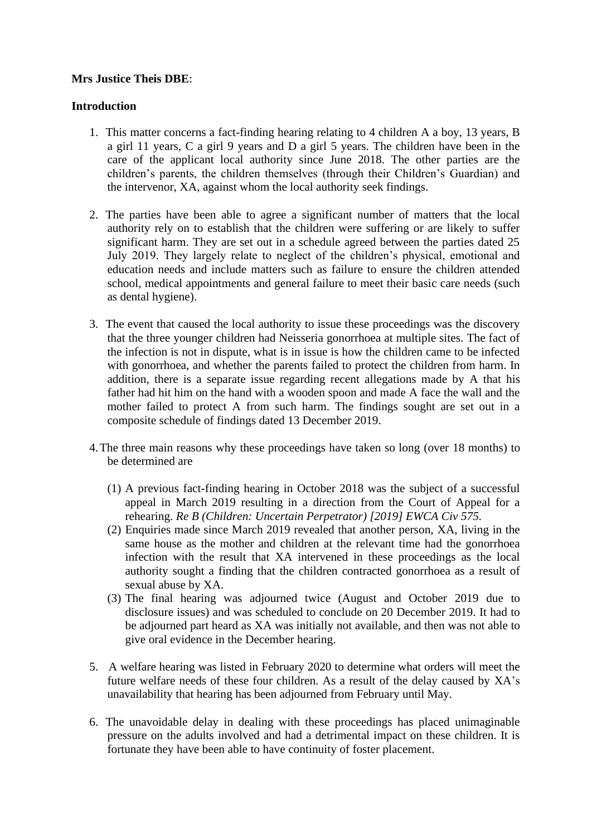# **Mrs Justice Theis DBE**:

# **Introduction**

- 1. This matter concerns a fact-finding hearing relating to 4 children A a boy, 13 years, B a girl 11 years, C a girl 9 years and D a girl 5 years. The children have been in the care of the applicant local authority since June 2018. The other parties are the children's parents, the children themselves (through their Children's Guardian) and the intervenor, XA, against whom the local authority seek findings.
- 2. The parties have been able to agree a significant number of matters that the local authority rely on to establish that the children were suffering or are likely to suffer significant harm. They are set out in a schedule agreed between the parties dated 25 July 2019. They largely relate to neglect of the children's physical, emotional and education needs and include matters such as failure to ensure the children attended school, medical appointments and general failure to meet their basic care needs (such as dental hygiene).
- 3. The event that caused the local authority to issue these proceedings was the discovery that the three younger children had Neisseria gonorrhoea at multiple sites. The fact of the infection is not in dispute, what is in issue is how the children came to be infected with gonorrhoea, and whether the parents failed to protect the children from harm. In addition, there is a separate issue regarding recent allegations made by A that his father had hit him on the hand with a wooden spoon and made A face the wall and the mother failed to protect A from such harm. The findings sought are set out in a composite schedule of findings dated 13 December 2019.
- 4.The three main reasons why these proceedings have taken so long (over 18 months) to be determined are
	- (1) A previous fact-finding hearing in October 2018 was the subject of a successful appeal in March 2019 resulting in a direction from the Court of Appeal for a rehearing. *Re B (Children: Uncertain Perpetrator) [2019] EWCA Civ 575.*
	- (2) Enquiries made since March 2019 revealed that another person, XA, living in the same house as the mother and children at the relevant time had the gonorrhoea infection with the result that XA intervened in these proceedings as the local authority sought a finding that the children contracted gonorrhoea as a result of sexual abuse by XA.
	- (3) The final hearing was adjourned twice (August and October 2019 due to disclosure issues) and was scheduled to conclude on 20 December 2019. It had to be adjourned part heard as XA was initially not available, and then was not able to give oral evidence in the December hearing.
- 5. A welfare hearing was listed in February 2020 to determine what orders will meet the future welfare needs of these four children. As a result of the delay caused by XA's unavailability that hearing has been adjourned from February until May.
- 6. The unavoidable delay in dealing with these proceedings has placed unimaginable pressure on the adults involved and had a detrimental impact on these children. It is fortunate they have been able to have continuity of foster placement.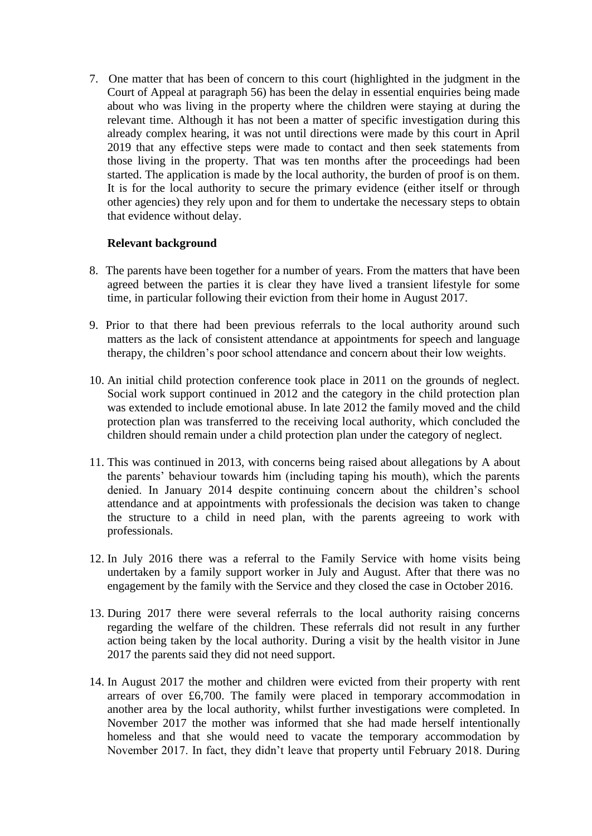7. One matter that has been of concern to this court (highlighted in the judgment in the Court of Appeal at paragraph 56) has been the delay in essential enquiries being made about who was living in the property where the children were staying at during the relevant time. Although it has not been a matter of specific investigation during this already complex hearing, it was not until directions were made by this court in April 2019 that any effective steps were made to contact and then seek statements from those living in the property. That was ten months after the proceedings had been started. The application is made by the local authority, the burden of proof is on them. It is for the local authority to secure the primary evidence (either itself or through other agencies) they rely upon and for them to undertake the necessary steps to obtain that evidence without delay.

# **Relevant background**

- 8. The parents have been together for a number of years. From the matters that have been agreed between the parties it is clear they have lived a transient lifestyle for some time, in particular following their eviction from their home in August 2017.
- 9. Prior to that there had been previous referrals to the local authority around such matters as the lack of consistent attendance at appointments for speech and language therapy, the children's poor school attendance and concern about their low weights.
- 10. An initial child protection conference took place in 2011 on the grounds of neglect. Social work support continued in 2012 and the category in the child protection plan was extended to include emotional abuse. In late 2012 the family moved and the child protection plan was transferred to the receiving local authority, which concluded the children should remain under a child protection plan under the category of neglect.
- 11. This was continued in 2013, with concerns being raised about allegations by A about the parents' behaviour towards him (including taping his mouth), which the parents denied. In January 2014 despite continuing concern about the children's school attendance and at appointments with professionals the decision was taken to change the structure to a child in need plan, with the parents agreeing to work with professionals.
- 12. In July 2016 there was a referral to the Family Service with home visits being undertaken by a family support worker in July and August. After that there was no engagement by the family with the Service and they closed the case in October 2016.
- 13. During 2017 there were several referrals to the local authority raising concerns regarding the welfare of the children. These referrals did not result in any further action being taken by the local authority. During a visit by the health visitor in June 2017 the parents said they did not need support.
- 14. In August 2017 the mother and children were evicted from their property with rent arrears of over £6,700. The family were placed in temporary accommodation in another area by the local authority, whilst further investigations were completed. In November 2017 the mother was informed that she had made herself intentionally homeless and that she would need to vacate the temporary accommodation by November 2017. In fact, they didn't leave that property until February 2018. During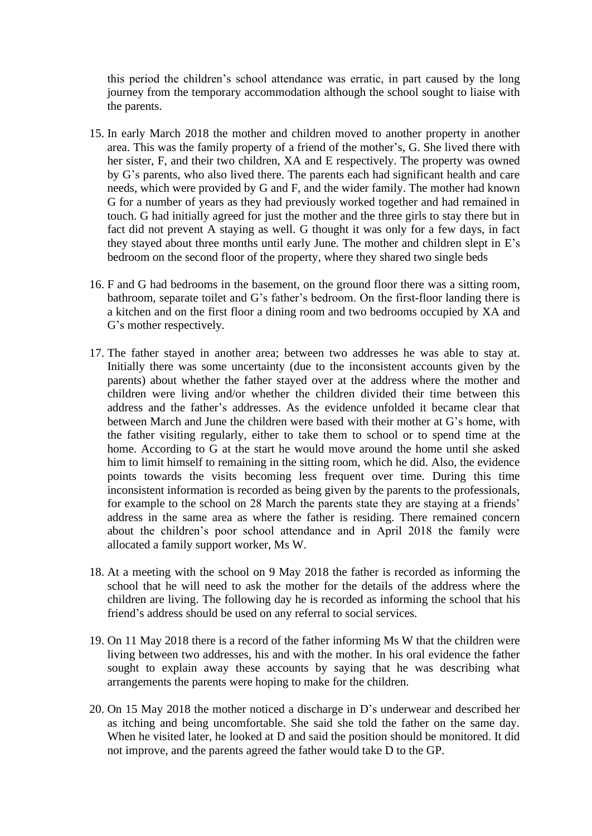this period the children's school attendance was erratic, in part caused by the long journey from the temporary accommodation although the school sought to liaise with the parents.

- 15. In early March 2018 the mother and children moved to another property in another area. This was the family property of a friend of the mother's, G. She lived there with her sister, F, and their two children, XA and E respectively. The property was owned by G's parents, who also lived there. The parents each had significant health and care needs, which were provided by G and F, and the wider family. The mother had known G for a number of years as they had previously worked together and had remained in touch. G had initially agreed for just the mother and the three girls to stay there but in fact did not prevent A staying as well. G thought it was only for a few days, in fact they stayed about three months until early June. The mother and children slept in E's bedroom on the second floor of the property, where they shared two single beds
- 16. F and G had bedrooms in the basement, on the ground floor there was a sitting room, bathroom, separate toilet and G's father's bedroom. On the first-floor landing there is a kitchen and on the first floor a dining room and two bedrooms occupied by XA and G's mother respectively.
- 17. The father stayed in another area; between two addresses he was able to stay at. Initially there was some uncertainty (due to the inconsistent accounts given by the parents) about whether the father stayed over at the address where the mother and children were living and/or whether the children divided their time between this address and the father's addresses. As the evidence unfolded it became clear that between March and June the children were based with their mother at G's home, with the father visiting regularly, either to take them to school or to spend time at the home. According to G at the start he would move around the home until she asked him to limit himself to remaining in the sitting room, which he did. Also, the evidence points towards the visits becoming less frequent over time. During this time inconsistent information is recorded as being given by the parents to the professionals, for example to the school on 28 March the parents state they are staying at a friends' address in the same area as where the father is residing. There remained concern about the children's poor school attendance and in April 2018 the family were allocated a family support worker, Ms W.
- 18. At a meeting with the school on 9 May 2018 the father is recorded as informing the school that he will need to ask the mother for the details of the address where the children are living. The following day he is recorded as informing the school that his friend's address should be used on any referral to social services.
- 19. On 11 May 2018 there is a record of the father informing Ms W that the children were living between two addresses, his and with the mother. In his oral evidence the father sought to explain away these accounts by saying that he was describing what arrangements the parents were hoping to make for the children.
- 20. On 15 May 2018 the mother noticed a discharge in D's underwear and described her as itching and being uncomfortable. She said she told the father on the same day. When he visited later, he looked at D and said the position should be monitored. It did not improve, and the parents agreed the father would take D to the GP.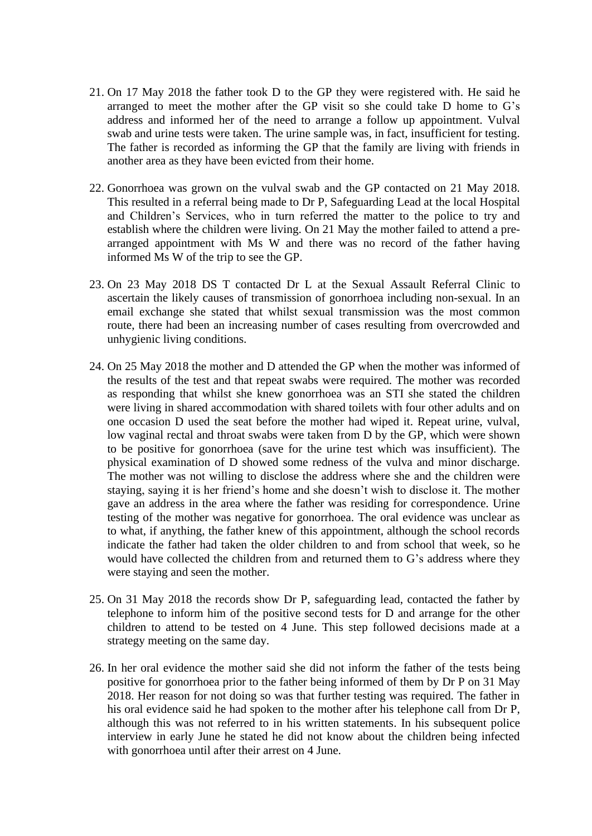- 21. On 17 May 2018 the father took D to the GP they were registered with. He said he arranged to meet the mother after the GP visit so she could take D home to G's address and informed her of the need to arrange a follow up appointment. Vulval swab and urine tests were taken. The urine sample was, in fact, insufficient for testing. The father is recorded as informing the GP that the family are living with friends in another area as they have been evicted from their home.
- 22. Gonorrhoea was grown on the vulval swab and the GP contacted on 21 May 2018. This resulted in a referral being made to Dr P, Safeguarding Lead at the local Hospital and Children's Services, who in turn referred the matter to the police to try and establish where the children were living. On 21 May the mother failed to attend a prearranged appointment with Ms W and there was no record of the father having informed Ms W of the trip to see the GP.
- 23. On 23 May 2018 DS T contacted Dr L at the Sexual Assault Referral Clinic to ascertain the likely causes of transmission of gonorrhoea including non-sexual. In an email exchange she stated that whilst sexual transmission was the most common route, there had been an increasing number of cases resulting from overcrowded and unhygienic living conditions.
- 24. On 25 May 2018 the mother and D attended the GP when the mother was informed of the results of the test and that repeat swabs were required. The mother was recorded as responding that whilst she knew gonorrhoea was an STI she stated the children were living in shared accommodation with shared toilets with four other adults and on one occasion D used the seat before the mother had wiped it. Repeat urine, vulval, low vaginal rectal and throat swabs were taken from D by the GP, which were shown to be positive for gonorrhoea (save for the urine test which was insufficient). The physical examination of D showed some redness of the vulva and minor discharge. The mother was not willing to disclose the address where she and the children were staying, saying it is her friend's home and she doesn't wish to disclose it. The mother gave an address in the area where the father was residing for correspondence. Urine testing of the mother was negative for gonorrhoea. The oral evidence was unclear as to what, if anything, the father knew of this appointment, although the school records indicate the father had taken the older children to and from school that week, so he would have collected the children from and returned them to G's address where they were staying and seen the mother.
- 25. On 31 May 2018 the records show Dr P, safeguarding lead, contacted the father by telephone to inform him of the positive second tests for D and arrange for the other children to attend to be tested on 4 June. This step followed decisions made at a strategy meeting on the same day.
- 26. In her oral evidence the mother said she did not inform the father of the tests being positive for gonorrhoea prior to the father being informed of them by Dr P on 31 May 2018. Her reason for not doing so was that further testing was required. The father in his oral evidence said he had spoken to the mother after his telephone call from Dr P, although this was not referred to in his written statements. In his subsequent police interview in early June he stated he did not know about the children being infected with gonorrhoea until after their arrest on 4 June.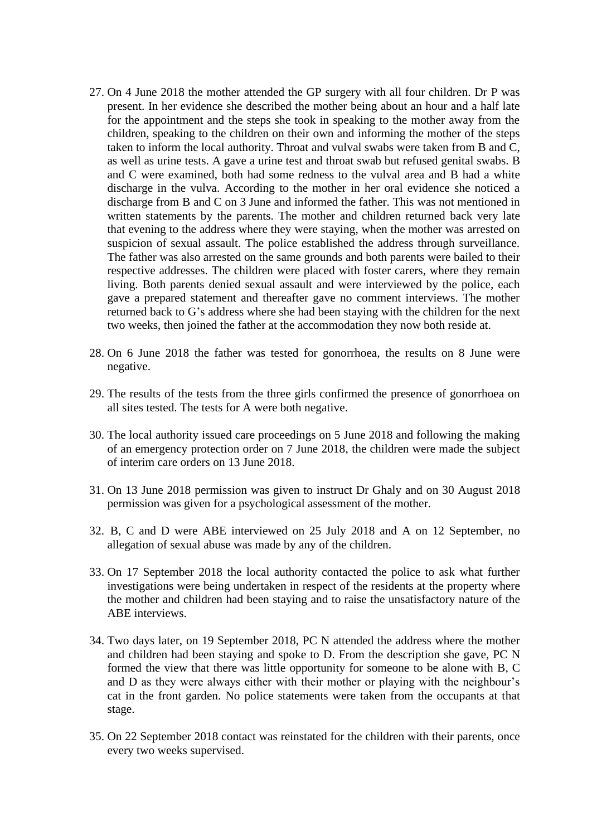- 27. On 4 June 2018 the mother attended the GP surgery with all four children. Dr P was present. In her evidence she described the mother being about an hour and a half late for the appointment and the steps she took in speaking to the mother away from the children, speaking to the children on their own and informing the mother of the steps taken to inform the local authority. Throat and vulval swabs were taken from B and C, as well as urine tests. A gave a urine test and throat swab but refused genital swabs. B and C were examined, both had some redness to the vulval area and B had a white discharge in the vulva. According to the mother in her oral evidence she noticed a discharge from B and C on 3 June and informed the father. This was not mentioned in written statements by the parents. The mother and children returned back very late that evening to the address where they were staying, when the mother was arrested on suspicion of sexual assault. The police established the address through surveillance. The father was also arrested on the same grounds and both parents were bailed to their respective addresses. The children were placed with foster carers, where they remain living. Both parents denied sexual assault and were interviewed by the police, each gave a prepared statement and thereafter gave no comment interviews. The mother returned back to G's address where she had been staying with the children for the next two weeks, then joined the father at the accommodation they now both reside at.
- 28. On 6 June 2018 the father was tested for gonorrhoea, the results on 8 June were negative.
- 29. The results of the tests from the three girls confirmed the presence of gonorrhoea on all sites tested. The tests for A were both negative.
- 30. The local authority issued care proceedings on 5 June 2018 and following the making of an emergency protection order on 7 June 2018, the children were made the subject of interim care orders on 13 June 2018.
- 31. On 13 June 2018 permission was given to instruct Dr Ghaly and on 30 August 2018 permission was given for a psychological assessment of the mother.
- 32. B, C and D were ABE interviewed on 25 July 2018 and A on 12 September, no allegation of sexual abuse was made by any of the children.
- 33. On 17 September 2018 the local authority contacted the police to ask what further investigations were being undertaken in respect of the residents at the property where the mother and children had been staying and to raise the unsatisfactory nature of the ABE interviews.
- 34. Two days later, on 19 September 2018, PC N attended the address where the mother and children had been staying and spoke to D. From the description she gave, PC N formed the view that there was little opportunity for someone to be alone with B, C and D as they were always either with their mother or playing with the neighbour's cat in the front garden. No police statements were taken from the occupants at that stage.
- 35. On 22 September 2018 contact was reinstated for the children with their parents, once every two weeks supervised.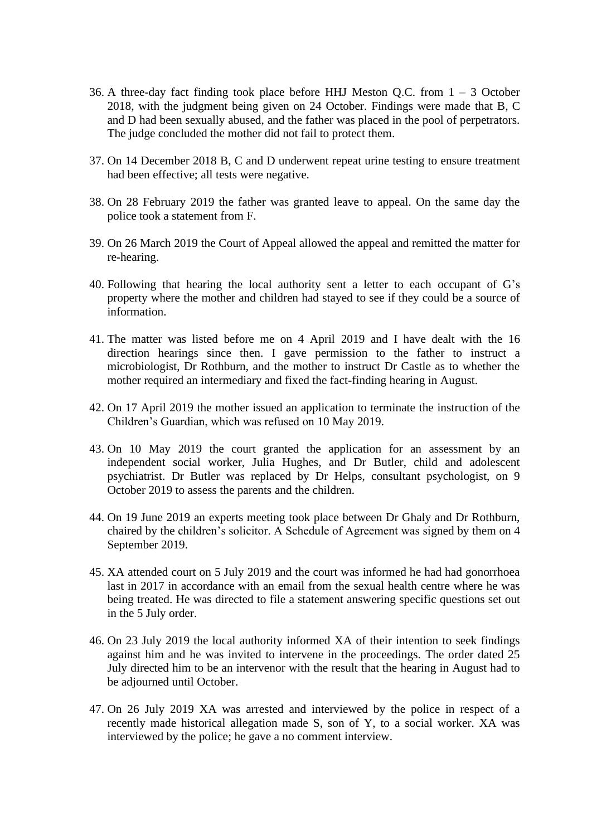- 36. A three-day fact finding took place before HHJ Meston Q.C. from  $1 3$  October 2018, with the judgment being given on 24 October. Findings were made that B, C and D had been sexually abused, and the father was placed in the pool of perpetrators. The judge concluded the mother did not fail to protect them.
- 37. On 14 December 2018 B, C and D underwent repeat urine testing to ensure treatment had been effective; all tests were negative.
- 38. On 28 February 2019 the father was granted leave to appeal. On the same day the police took a statement from F.
- 39. On 26 March 2019 the Court of Appeal allowed the appeal and remitted the matter for re-hearing.
- 40. Following that hearing the local authority sent a letter to each occupant of G's property where the mother and children had stayed to see if they could be a source of information.
- 41. The matter was listed before me on 4 April 2019 and I have dealt with the 16 direction hearings since then. I gave permission to the father to instruct a microbiologist, Dr Rothburn, and the mother to instruct Dr Castle as to whether the mother required an intermediary and fixed the fact-finding hearing in August.
- 42. On 17 April 2019 the mother issued an application to terminate the instruction of the Children's Guardian, which was refused on 10 May 2019.
- 43. On 10 May 2019 the court granted the application for an assessment by an independent social worker, Julia Hughes, and Dr Butler, child and adolescent psychiatrist. Dr Butler was replaced by Dr Helps, consultant psychologist, on 9 October 2019 to assess the parents and the children.
- 44. On 19 June 2019 an experts meeting took place between Dr Ghaly and Dr Rothburn, chaired by the children's solicitor. A Schedule of Agreement was signed by them on 4 September 2019.
- 45. XA attended court on 5 July 2019 and the court was informed he had had gonorrhoea last in 2017 in accordance with an email from the sexual health centre where he was being treated. He was directed to file a statement answering specific questions set out in the 5 July order.
- 46. On 23 July 2019 the local authority informed XA of their intention to seek findings against him and he was invited to intervene in the proceedings. The order dated 25 July directed him to be an intervenor with the result that the hearing in August had to be adjourned until October.
- 47. On 26 July 2019 XA was arrested and interviewed by the police in respect of a recently made historical allegation made S, son of Y, to a social worker. XA was interviewed by the police; he gave a no comment interview.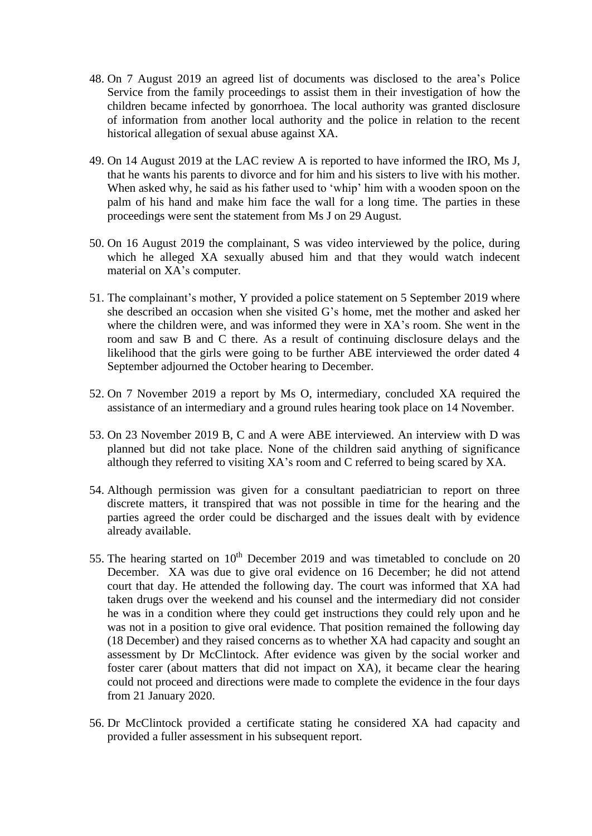- 48. On 7 August 2019 an agreed list of documents was disclosed to the area's Police Service from the family proceedings to assist them in their investigation of how the children became infected by gonorrhoea. The local authority was granted disclosure of information from another local authority and the police in relation to the recent historical allegation of sexual abuse against XA.
- 49. On 14 August 2019 at the LAC review A is reported to have informed the IRO, Ms J, that he wants his parents to divorce and for him and his sisters to live with his mother. When asked why, he said as his father used to 'whip' him with a wooden spoon on the palm of his hand and make him face the wall for a long time. The parties in these proceedings were sent the statement from Ms J on 29 August.
- 50. On 16 August 2019 the complainant, S was video interviewed by the police, during which he alleged XA sexually abused him and that they would watch indecent material on XA's computer.
- 51. The complainant's mother, Y provided a police statement on 5 September 2019 where she described an occasion when she visited G's home, met the mother and asked her where the children were, and was informed they were in XA's room. She went in the room and saw B and C there. As a result of continuing disclosure delays and the likelihood that the girls were going to be further ABE interviewed the order dated 4 September adjourned the October hearing to December.
- 52. On 7 November 2019 a report by Ms O, intermediary, concluded XA required the assistance of an intermediary and a ground rules hearing took place on 14 November.
- 53. On 23 November 2019 B, C and A were ABE interviewed. An interview with D was planned but did not take place. None of the children said anything of significance although they referred to visiting XA's room and C referred to being scared by XA.
- 54. Although permission was given for a consultant paediatrician to report on three discrete matters, it transpired that was not possible in time for the hearing and the parties agreed the order could be discharged and the issues dealt with by evidence already available.
- 55. The hearing started on  $10<sup>th</sup>$  December 2019 and was timetabled to conclude on 20 December. XA was due to give oral evidence on 16 December; he did not attend court that day. He attended the following day. The court was informed that XA had taken drugs over the weekend and his counsel and the intermediary did not consider he was in a condition where they could get instructions they could rely upon and he was not in a position to give oral evidence. That position remained the following day (18 December) and they raised concerns as to whether XA had capacity and sought an assessment by Dr McClintock. After evidence was given by the social worker and foster carer (about matters that did not impact on XA), it became clear the hearing could not proceed and directions were made to complete the evidence in the four days from 21 January 2020.
- 56. Dr McClintock provided a certificate stating he considered XA had capacity and provided a fuller assessment in his subsequent report.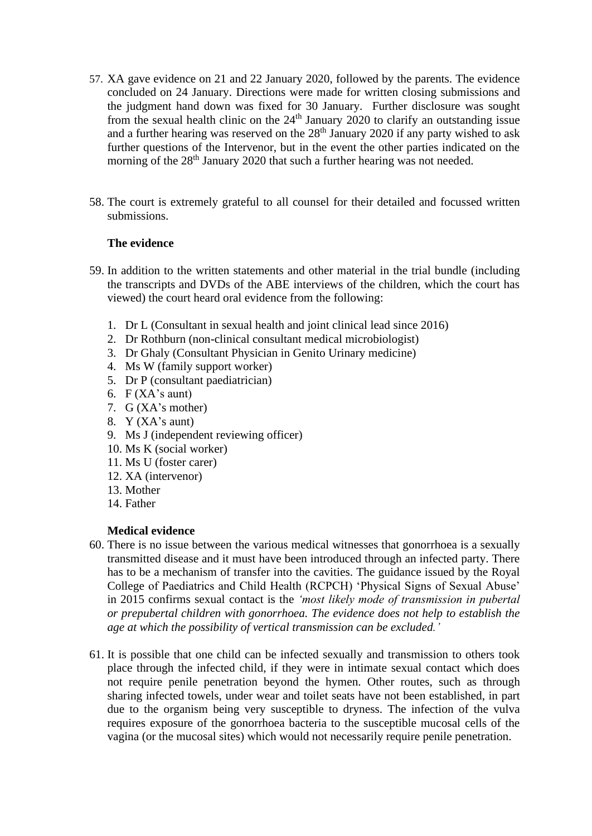- 57. XA gave evidence on 21 and 22 January 2020, followed by the parents. The evidence concluded on 24 January. Directions were made for written closing submissions and the judgment hand down was fixed for 30 January. Further disclosure was sought from the sexual health clinic on the  $24<sup>th</sup>$  January 2020 to clarify an outstanding issue and a further hearing was reserved on the  $28<sup>th</sup>$  January 2020 if any party wished to ask further questions of the Intervenor, but in the event the other parties indicated on the morning of the 28<sup>th</sup> January 2020 that such a further hearing was not needed.
- 58. The court is extremely grateful to all counsel for their detailed and focussed written submissions.

### **The evidence**

- 59. In addition to the written statements and other material in the trial bundle (including the transcripts and DVDs of the ABE interviews of the children, which the court has viewed) the court heard oral evidence from the following:
	- 1. Dr L (Consultant in sexual health and joint clinical lead since 2016)
	- 2. Dr Rothburn (non-clinical consultant medical microbiologist)
	- 3. Dr Ghaly (Consultant Physician in Genito Urinary medicine)
	- 4. Ms W (family support worker)
	- 5. Dr P (consultant paediatrician)
	- 6.  $F$  (XA's aunt)
	- 7. G (XA's mother)
	- 8. Y (XA's aunt)
	- 9. Ms J (independent reviewing officer)
	- 10. Ms K (social worker)
	- 11. Ms U (foster carer)
	- 12. XA (intervenor)
	- 13. Mother
	- 14. Father

### **Medical evidence**

- 60. There is no issue between the various medical witnesses that gonorrhoea is a sexually transmitted disease and it must have been introduced through an infected party. There has to be a mechanism of transfer into the cavities. The guidance issued by the Royal College of Paediatrics and Child Health (RCPCH) 'Physical Signs of Sexual Abuse' in 2015 confirms sexual contact is the *'most likely mode of transmission in pubertal or prepubertal children with gonorrhoea. The evidence does not help to establish the age at which the possibility of vertical transmission can be excluded.'*
- 61. It is possible that one child can be infected sexually and transmission to others took place through the infected child, if they were in intimate sexual contact which does not require penile penetration beyond the hymen. Other routes, such as through sharing infected towels, under wear and toilet seats have not been established, in part due to the organism being very susceptible to dryness. The infection of the vulva requires exposure of the gonorrhoea bacteria to the susceptible mucosal cells of the vagina (or the mucosal sites) which would not necessarily require penile penetration.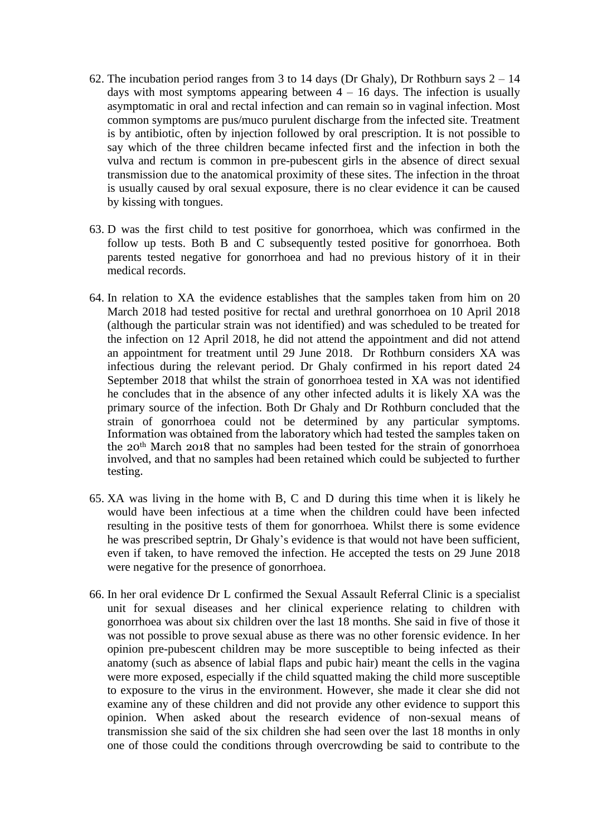- 62. The incubation period ranges from 3 to 14 days (Dr Ghaly), Dr Rothburn says  $2 14$ days with most symptoms appearing between  $4 - 16$  days. The infection is usually asymptomatic in oral and rectal infection and can remain so in vaginal infection. Most common symptoms are pus/muco purulent discharge from the infected site. Treatment is by antibiotic, often by injection followed by oral prescription. It is not possible to say which of the three children became infected first and the infection in both the vulva and rectum is common in pre-pubescent girls in the absence of direct sexual transmission due to the anatomical proximity of these sites. The infection in the throat is usually caused by oral sexual exposure, there is no clear evidence it can be caused by kissing with tongues.
- 63. D was the first child to test positive for gonorrhoea, which was confirmed in the follow up tests. Both B and C subsequently tested positive for gonorrhoea. Both parents tested negative for gonorrhoea and had no previous history of it in their medical records.
- 64. In relation to XA the evidence establishes that the samples taken from him on 20 March 2018 had tested positive for rectal and urethral gonorrhoea on 10 April 2018 (although the particular strain was not identified) and was scheduled to be treated for the infection on 12 April 2018, he did not attend the appointment and did not attend an appointment for treatment until 29 June 2018. Dr Rothburn considers XA was infectious during the relevant period. Dr Ghaly confirmed in his report dated 24 September 2018 that whilst the strain of gonorrhoea tested in XA was not identified he concludes that in the absence of any other infected adults it is likely XA was the primary source of the infection. Both Dr Ghaly and Dr Rothburn concluded that the strain of gonorrhoea could not be determined by any particular symptoms. Information was obtained from the laboratory which had tested the samples taken on the 20th March 2018 that no samples had been tested for the strain of gonorrhoea involved, and that no samples had been retained which could be subjected to further testing.
- 65. XA was living in the home with B, C and D during this time when it is likely he would have been infectious at a time when the children could have been infected resulting in the positive tests of them for gonorrhoea. Whilst there is some evidence he was prescribed septrin, Dr Ghaly's evidence is that would not have been sufficient, even if taken, to have removed the infection. He accepted the tests on 29 June 2018 were negative for the presence of gonorrhoea.
- 66. In her oral evidence Dr L confirmed the Sexual Assault Referral Clinic is a specialist unit for sexual diseases and her clinical experience relating to children with gonorrhoea was about six children over the last 18 months. She said in five of those it was not possible to prove sexual abuse as there was no other forensic evidence. In her opinion pre-pubescent children may be more susceptible to being infected as their anatomy (such as absence of labial flaps and pubic hair) meant the cells in the vagina were more exposed, especially if the child squatted making the child more susceptible to exposure to the virus in the environment. However, she made it clear she did not examine any of these children and did not provide any other evidence to support this opinion. When asked about the research evidence of non-sexual means of transmission she said of the six children she had seen over the last 18 months in only one of those could the conditions through overcrowding be said to contribute to the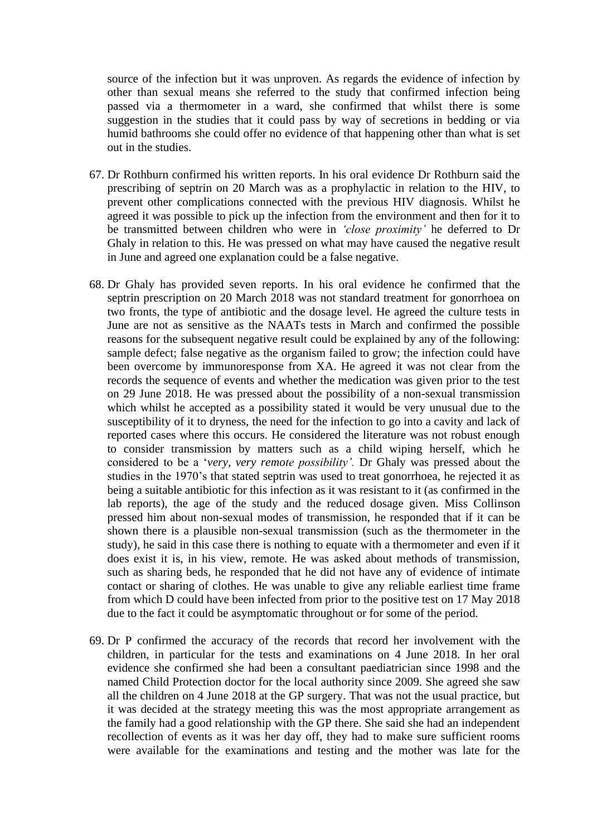source of the infection but it was unproven. As regards the evidence of infection by other than sexual means she referred to the study that confirmed infection being passed via a thermometer in a ward, she confirmed that whilst there is some suggestion in the studies that it could pass by way of secretions in bedding or via humid bathrooms she could offer no evidence of that happening other than what is set out in the studies.

- 67. Dr Rothburn confirmed his written reports. In his oral evidence Dr Rothburn said the prescribing of septrin on 20 March was as a prophylactic in relation to the HIV, to prevent other complications connected with the previous HIV diagnosis. Whilst he agreed it was possible to pick up the infection from the environment and then for it to be transmitted between children who were in *'close proximity'* he deferred to Dr Ghaly in relation to this. He was pressed on what may have caused the negative result in June and agreed one explanation could be a false negative.
- 68. Dr Ghaly has provided seven reports. In his oral evidence he confirmed that the septrin prescription on 20 March 2018 was not standard treatment for gonorrhoea on two fronts, the type of antibiotic and the dosage level. He agreed the culture tests in June are not as sensitive as the NAATs tests in March and confirmed the possible reasons for the subsequent negative result could be explained by any of the following: sample defect; false negative as the organism failed to grow; the infection could have been overcome by immunoresponse from XA. He agreed it was not clear from the records the sequence of events and whether the medication was given prior to the test on 29 June 2018. He was pressed about the possibility of a non-sexual transmission which whilst he accepted as a possibility stated it would be very unusual due to the susceptibility of it to dryness, the need for the infection to go into a cavity and lack of reported cases where this occurs. He considered the literature was not robust enough to consider transmission by matters such as a child wiping herself, which he considered to be a '*very, very remote possibility'.* Dr Ghaly was pressed about the studies in the 1970's that stated septrin was used to treat gonorrhoea, he rejected it as being a suitable antibiotic for this infection as it was resistant to it (as confirmed in the lab reports), the age of the study and the reduced dosage given. Miss Collinson pressed him about non-sexual modes of transmission, he responded that if it can be shown there is a plausible non-sexual transmission (such as the thermometer in the study), he said in this case there is nothing to equate with a thermometer and even if it does exist it is, in his view, remote. He was asked about methods of transmission, such as sharing beds, he responded that he did not have any of evidence of intimate contact or sharing of clothes. He was unable to give any reliable earliest time frame from which D could have been infected from prior to the positive test on 17 May 2018 due to the fact it could be asymptomatic throughout or for some of the period.
- 69. Dr P confirmed the accuracy of the records that record her involvement with the children, in particular for the tests and examinations on 4 June 2018. In her oral evidence she confirmed she had been a consultant paediatrician since 1998 and the named Child Protection doctor for the local authority since 2009. She agreed she saw all the children on 4 June 2018 at the GP surgery. That was not the usual practice, but it was decided at the strategy meeting this was the most appropriate arrangement as the family had a good relationship with the GP there. She said she had an independent recollection of events as it was her day off, they had to make sure sufficient rooms were available for the examinations and testing and the mother was late for the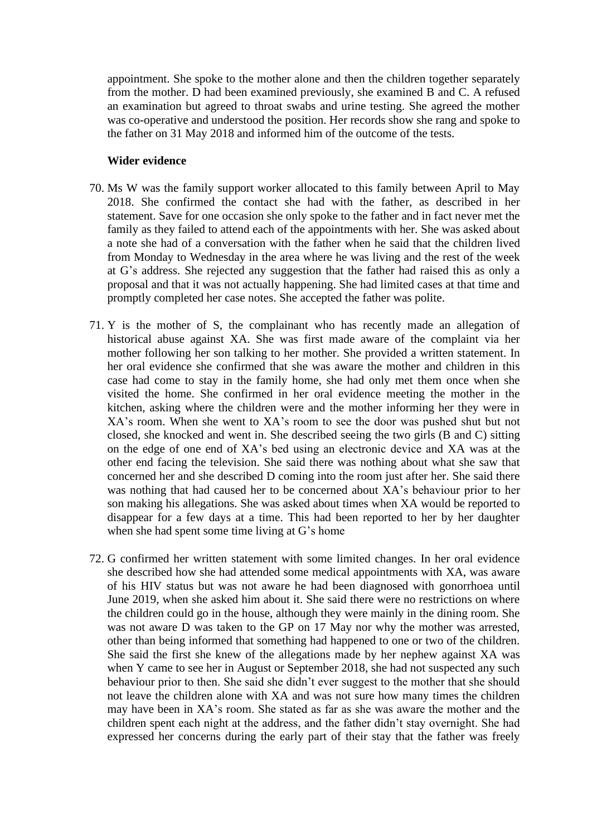appointment. She spoke to the mother alone and then the children together separately from the mother. D had been examined previously, she examined B and C. A refused an examination but agreed to throat swabs and urine testing. She agreed the mother was co-operative and understood the position. Her records show she rang and spoke to the father on 31 May 2018 and informed him of the outcome of the tests.

#### **Wider evidence**

- 70. Ms W was the family support worker allocated to this family between April to May 2018. She confirmed the contact she had with the father, as described in her statement. Save for one occasion she only spoke to the father and in fact never met the family as they failed to attend each of the appointments with her. She was asked about a note she had of a conversation with the father when he said that the children lived from Monday to Wednesday in the area where he was living and the rest of the week at G's address. She rejected any suggestion that the father had raised this as only a proposal and that it was not actually happening. She had limited cases at that time and promptly completed her case notes. She accepted the father was polite.
- 71. Y is the mother of S, the complainant who has recently made an allegation of historical abuse against XA. She was first made aware of the complaint via her mother following her son talking to her mother. She provided a written statement. In her oral evidence she confirmed that she was aware the mother and children in this case had come to stay in the family home, she had only met them once when she visited the home. She confirmed in her oral evidence meeting the mother in the kitchen, asking where the children were and the mother informing her they were in XA's room. When she went to XA's room to see the door was pushed shut but not closed, she knocked and went in. She described seeing the two girls (B and C) sitting on the edge of one end of XA's bed using an electronic device and XA was at the other end facing the television. She said there was nothing about what she saw that concerned her and she described D coming into the room just after her. She said there was nothing that had caused her to be concerned about XA's behaviour prior to her son making his allegations. She was asked about times when XA would be reported to disappear for a few days at a time. This had been reported to her by her daughter when she had spent some time living at G's home
- 72. G confirmed her written statement with some limited changes. In her oral evidence she described how she had attended some medical appointments with XA, was aware of his HIV status but was not aware he had been diagnosed with gonorrhoea until June 2019, when she asked him about it. She said there were no restrictions on where the children could go in the house, although they were mainly in the dining room. She was not aware D was taken to the GP on 17 May nor why the mother was arrested, other than being informed that something had happened to one or two of the children. She said the first she knew of the allegations made by her nephew against XA was when Y came to see her in August or September 2018, she had not suspected any such behaviour prior to then. She said she didn't ever suggest to the mother that she should not leave the children alone with XA and was not sure how many times the children may have been in XA's room. She stated as far as she was aware the mother and the children spent each night at the address, and the father didn't stay overnight. She had expressed her concerns during the early part of their stay that the father was freely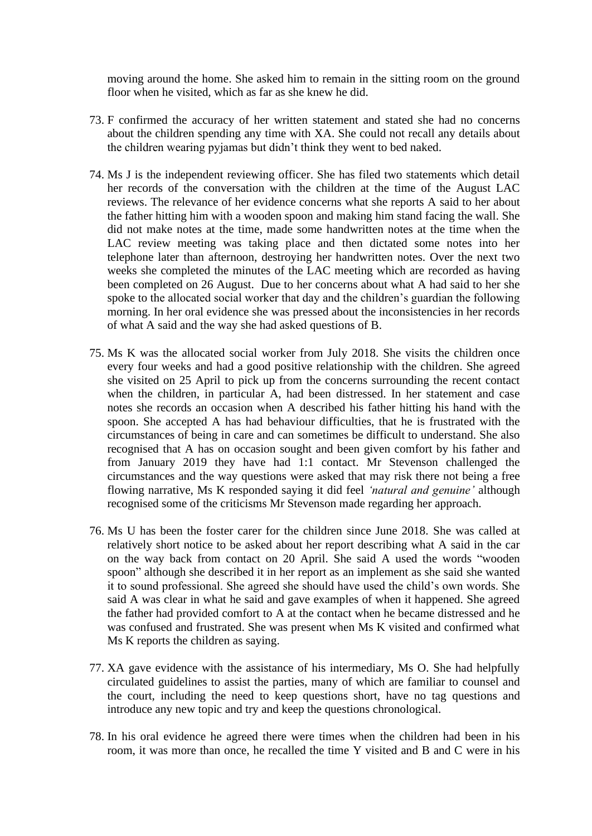moving around the home. She asked him to remain in the sitting room on the ground floor when he visited, which as far as she knew he did.

- 73. F confirmed the accuracy of her written statement and stated she had no concerns about the children spending any time with XA. She could not recall any details about the children wearing pyjamas but didn't think they went to bed naked.
- 74. Ms J is the independent reviewing officer. She has filed two statements which detail her records of the conversation with the children at the time of the August LAC reviews. The relevance of her evidence concerns what she reports A said to her about the father hitting him with a wooden spoon and making him stand facing the wall. She did not make notes at the time, made some handwritten notes at the time when the LAC review meeting was taking place and then dictated some notes into her telephone later than afternoon, destroying her handwritten notes. Over the next two weeks she completed the minutes of the LAC meeting which are recorded as having been completed on 26 August. Due to her concerns about what A had said to her she spoke to the allocated social worker that day and the children's guardian the following morning. In her oral evidence she was pressed about the inconsistencies in her records of what A said and the way she had asked questions of B.
- 75. Ms K was the allocated social worker from July 2018. She visits the children once every four weeks and had a good positive relationship with the children. She agreed she visited on 25 April to pick up from the concerns surrounding the recent contact when the children, in particular A, had been distressed. In her statement and case notes she records an occasion when A described his father hitting his hand with the spoon. She accepted A has had behaviour difficulties, that he is frustrated with the circumstances of being in care and can sometimes be difficult to understand. She also recognised that A has on occasion sought and been given comfort by his father and from January 2019 they have had 1:1 contact. Mr Stevenson challenged the circumstances and the way questions were asked that may risk there not being a free flowing narrative, Ms K responded saying it did feel *'natural and genuine'* although recognised some of the criticisms Mr Stevenson made regarding her approach.
- 76. Ms U has been the foster carer for the children since June 2018. She was called at relatively short notice to be asked about her report describing what A said in the car on the way back from contact on 20 April. She said A used the words "wooden spoon" although she described it in her report as an implement as she said she wanted it to sound professional. She agreed she should have used the child's own words. She said A was clear in what he said and gave examples of when it happened. She agreed the father had provided comfort to A at the contact when he became distressed and he was confused and frustrated. She was present when Ms K visited and confirmed what Ms K reports the children as saying.
- 77. XA gave evidence with the assistance of his intermediary, Ms O. She had helpfully circulated guidelines to assist the parties, many of which are familiar to counsel and the court, including the need to keep questions short, have no tag questions and introduce any new topic and try and keep the questions chronological.
- 78. In his oral evidence he agreed there were times when the children had been in his room, it was more than once, he recalled the time Y visited and B and C were in his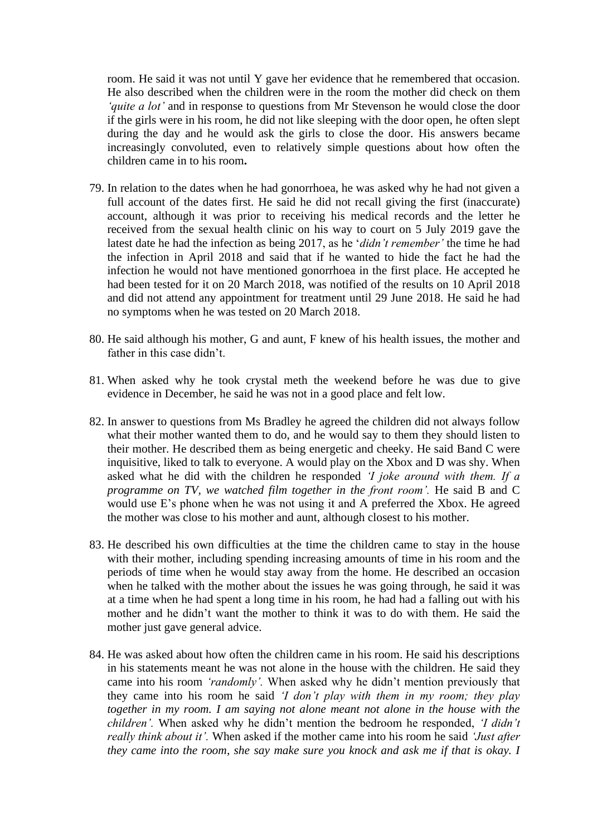room. He said it was not until Y gave her evidence that he remembered that occasion. He also described when the children were in the room the mother did check on them *'quite a lot'* and in response to questions from Mr Stevenson he would close the door if the girls were in his room, he did not like sleeping with the door open, he often slept during the day and he would ask the girls to close the door. His answers became increasingly convoluted, even to relatively simple questions about how often the children came in to his room**.**

- 79. In relation to the dates when he had gonorrhoea, he was asked why he had not given a full account of the dates first. He said he did not recall giving the first (inaccurate) account, although it was prior to receiving his medical records and the letter he received from the sexual health clinic on his way to court on 5 July 2019 gave the latest date he had the infection as being 2017, as he '*didn't remember'* the time he had the infection in April 2018 and said that if he wanted to hide the fact he had the infection he would not have mentioned gonorrhoea in the first place. He accepted he had been tested for it on 20 March 2018, was notified of the results on 10 April 2018 and did not attend any appointment for treatment until 29 June 2018. He said he had no symptoms when he was tested on 20 March 2018.
- 80. He said although his mother, G and aunt, F knew of his health issues, the mother and father in this case didn't.
- 81. When asked why he took crystal meth the weekend before he was due to give evidence in December, he said he was not in a good place and felt low.
- 82. In answer to questions from Ms Bradley he agreed the children did not always follow what their mother wanted them to do, and he would say to them they should listen to their mother. He described them as being energetic and cheeky. He said Band C were inquisitive, liked to talk to everyone. A would play on the Xbox and D was shy. When asked what he did with the children he responded *'I joke around with them. If a programme on TV, we watched film together in the front room'.* He said B and C would use E's phone when he was not using it and A preferred the Xbox. He agreed the mother was close to his mother and aunt, although closest to his mother.
- 83. He described his own difficulties at the time the children came to stay in the house with their mother, including spending increasing amounts of time in his room and the periods of time when he would stay away from the home. He described an occasion when he talked with the mother about the issues he was going through, he said it was at a time when he had spent a long time in his room, he had had a falling out with his mother and he didn't want the mother to think it was to do with them. He said the mother just gave general advice.
- 84. He was asked about how often the children came in his room. He said his descriptions in his statements meant he was not alone in the house with the children. He said they came into his room *'randomly'.* When asked why he didn't mention previously that they came into his room he said *'I don't play with them in my room; they play together in my room. I am saying not alone meant not alone in the house with the children'.* When asked why he didn't mention the bedroom he responded, *'I didn't really think about it'.* When asked if the mother came into his room he said *'Just after they came into the room, she say make sure you knock and ask me if that is okay. I*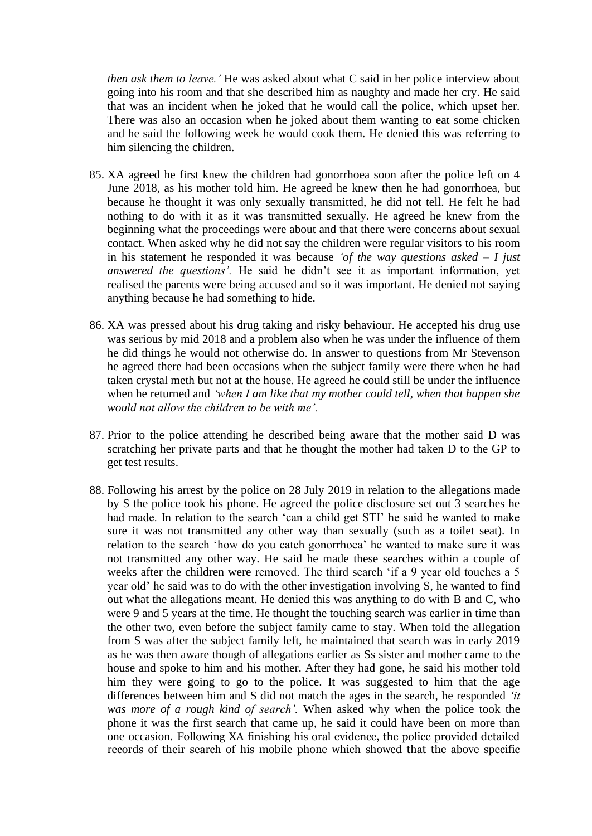*then ask them to leave.'* He was asked about what C said in her police interview about going into his room and that she described him as naughty and made her cry. He said that was an incident when he joked that he would call the police, which upset her. There was also an occasion when he joked about them wanting to eat some chicken and he said the following week he would cook them. He denied this was referring to him silencing the children.

- 85. XA agreed he first knew the children had gonorrhoea soon after the police left on 4 June 2018, as his mother told him. He agreed he knew then he had gonorrhoea, but because he thought it was only sexually transmitted, he did not tell. He felt he had nothing to do with it as it was transmitted sexually. He agreed he knew from the beginning what the proceedings were about and that there were concerns about sexual contact. When asked why he did not say the children were regular visitors to his room in his statement he responded it was because *'of the way questions asked – I just answered the questions'.* He said he didn't see it as important information, yet realised the parents were being accused and so it was important. He denied not saying anything because he had something to hide.
- 86. XA was pressed about his drug taking and risky behaviour. He accepted his drug use was serious by mid 2018 and a problem also when he was under the influence of them he did things he would not otherwise do. In answer to questions from Mr Stevenson he agreed there had been occasions when the subject family were there when he had taken crystal meth but not at the house. He agreed he could still be under the influence when he returned and *'when I am like that my mother could tell, when that happen she would not allow the children to be with me'.*
- 87. Prior to the police attending he described being aware that the mother said D was scratching her private parts and that he thought the mother had taken D to the GP to get test results.
- 88. Following his arrest by the police on 28 July 2019 in relation to the allegations made by S the police took his phone. He agreed the police disclosure set out 3 searches he had made. In relation to the search 'can a child get STI' he said he wanted to make sure it was not transmitted any other way than sexually (such as a toilet seat). In relation to the search 'how do you catch gonorrhoea' he wanted to make sure it was not transmitted any other way. He said he made these searches within a couple of weeks after the children were removed. The third search 'if a 9 year old touches a 5 year old' he said was to do with the other investigation involving S, he wanted to find out what the allegations meant. He denied this was anything to do with B and C, who were 9 and 5 years at the time. He thought the touching search was earlier in time than the other two, even before the subject family came to stay. When told the allegation from S was after the subject family left, he maintained that search was in early 2019 as he was then aware though of allegations earlier as Ss sister and mother came to the house and spoke to him and his mother. After they had gone, he said his mother told him they were going to go to the police. It was suggested to him that the age differences between him and S did not match the ages in the search, he responded *'it was more of a rough kind of search'.* When asked why when the police took the phone it was the first search that came up, he said it could have been on more than one occasion. Following XA finishing his oral evidence, the police provided detailed records of their search of his mobile phone which showed that the above specific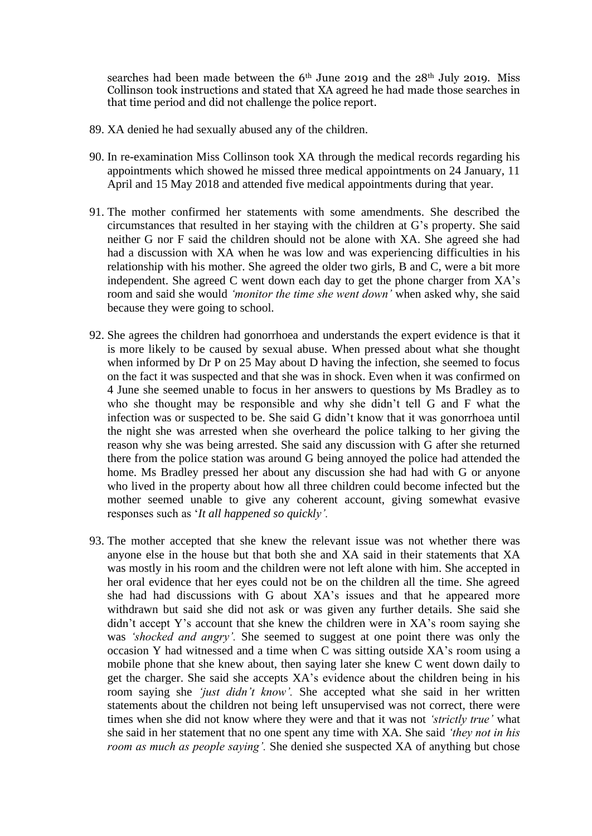searches had been made between the 6<sup>th</sup> June 2019 and the 28<sup>th</sup> July 2019. Miss Collinson took instructions and stated that XA agreed he had made those searches in that time period and did not challenge the police report.

- 89. XA denied he had sexually abused any of the children.
- 90. In re-examination Miss Collinson took XA through the medical records regarding his appointments which showed he missed three medical appointments on 24 January, 11 April and 15 May 2018 and attended five medical appointments during that year.
- 91. The mother confirmed her statements with some amendments. She described the circumstances that resulted in her staying with the children at G's property. She said neither G nor F said the children should not be alone with XA. She agreed she had had a discussion with XA when he was low and was experiencing difficulties in his relationship with his mother. She agreed the older two girls, B and C, were a bit more independent. She agreed C went down each day to get the phone charger from XA's room and said she would *'monitor the time she went down'* when asked why, she said because they were going to school.
- 92. She agrees the children had gonorrhoea and understands the expert evidence is that it is more likely to be caused by sexual abuse. When pressed about what she thought when informed by Dr P on 25 May about D having the infection, she seemed to focus on the fact it was suspected and that she was in shock. Even when it was confirmed on 4 June she seemed unable to focus in her answers to questions by Ms Bradley as to who she thought may be responsible and why she didn't tell G and F what the infection was or suspected to be. She said G didn't know that it was gonorrhoea until the night she was arrested when she overheard the police talking to her giving the reason why she was being arrested. She said any discussion with G after she returned there from the police station was around G being annoyed the police had attended the home. Ms Bradley pressed her about any discussion she had had with G or anyone who lived in the property about how all three children could become infected but the mother seemed unable to give any coherent account, giving somewhat evasive responses such as '*It all happened so quickly'.*
- 93. The mother accepted that she knew the relevant issue was not whether there was anyone else in the house but that both she and XA said in their statements that XA was mostly in his room and the children were not left alone with him. She accepted in her oral evidence that her eyes could not be on the children all the time. She agreed she had had discussions with G about XA's issues and that he appeared more withdrawn but said she did not ask or was given any further details. She said she didn't accept Y's account that she knew the children were in XA's room saying she was *'shocked and angry'.* She seemed to suggest at one point there was only the occasion Y had witnessed and a time when C was sitting outside XA's room using a mobile phone that she knew about, then saying later she knew C went down daily to get the charger. She said she accepts XA's evidence about the children being in his room saying she *'just didn't know'.* She accepted what she said in her written statements about the children not being left unsupervised was not correct, there were times when she did not know where they were and that it was not *'strictly true'* what she said in her statement that no one spent any time with XA. She said *'they not in his room as much as people saying'.* She denied she suspected XA of anything but chose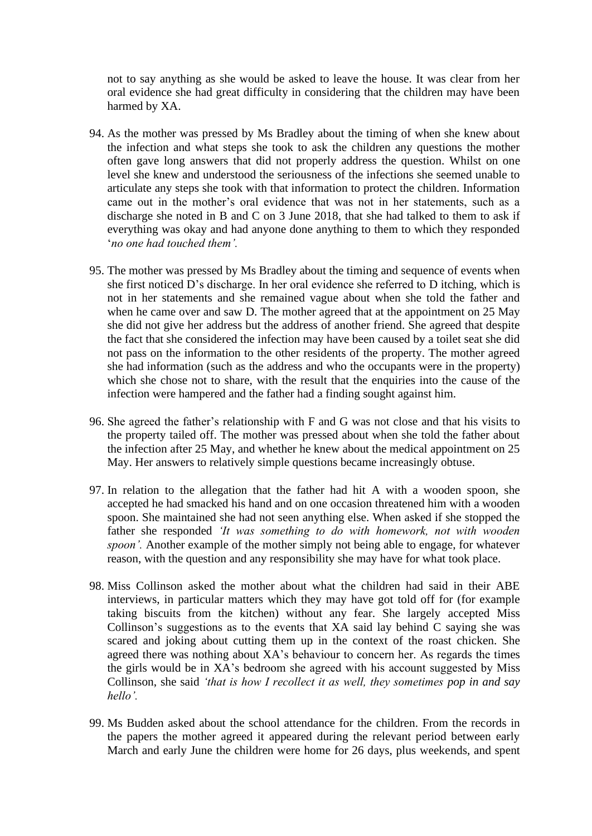not to say anything as she would be asked to leave the house. It was clear from her oral evidence she had great difficulty in considering that the children may have been harmed by XA.

- 94. As the mother was pressed by Ms Bradley about the timing of when she knew about the infection and what steps she took to ask the children any questions the mother often gave long answers that did not properly address the question. Whilst on one level she knew and understood the seriousness of the infections she seemed unable to articulate any steps she took with that information to protect the children. Information came out in the mother's oral evidence that was not in her statements, such as a discharge she noted in B and C on 3 June 2018, that she had talked to them to ask if everything was okay and had anyone done anything to them to which they responded '*no one had touched them'.*
- 95. The mother was pressed by Ms Bradley about the timing and sequence of events when she first noticed D's discharge. In her oral evidence she referred to D itching, which is not in her statements and she remained vague about when she told the father and when he came over and saw D. The mother agreed that at the appointment on 25 May she did not give her address but the address of another friend. She agreed that despite the fact that she considered the infection may have been caused by a toilet seat she did not pass on the information to the other residents of the property. The mother agreed she had information (such as the address and who the occupants were in the property) which she chose not to share, with the result that the enquiries into the cause of the infection were hampered and the father had a finding sought against him.
- 96. She agreed the father's relationship with F and G was not close and that his visits to the property tailed off. The mother was pressed about when she told the father about the infection after 25 May, and whether he knew about the medical appointment on 25 May. Her answers to relatively simple questions became increasingly obtuse.
- 97. In relation to the allegation that the father had hit A with a wooden spoon, she accepted he had smacked his hand and on one occasion threatened him with a wooden spoon. She maintained she had not seen anything else. When asked if she stopped the father she responded *'It was something to do with homework, not with wooden spoon'.* Another example of the mother simply not being able to engage, for whatever reason, with the question and any responsibility she may have for what took place.
- 98. Miss Collinson asked the mother about what the children had said in their ABE interviews, in particular matters which they may have got told off for (for example taking biscuits from the kitchen) without any fear. She largely accepted Miss Collinson's suggestions as to the events that XA said lay behind C saying she was scared and joking about cutting them up in the context of the roast chicken. She agreed there was nothing about XA's behaviour to concern her. As regards the times the girls would be in XA's bedroom she agreed with his account suggested by Miss Collinson, she said *'that is how I recollect it as well, they sometimes pop in and say hello'.*
- 99. Ms Budden asked about the school attendance for the children. From the records in the papers the mother agreed it appeared during the relevant period between early March and early June the children were home for 26 days, plus weekends, and spent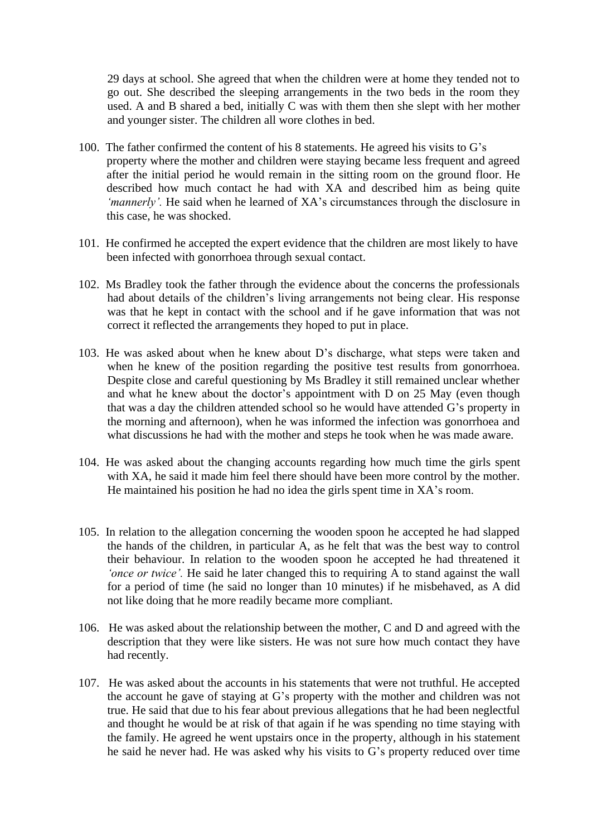29 days at school. She agreed that when the children were at home they tended not to go out. She described the sleeping arrangements in the two beds in the room they used. A and B shared a bed, initially C was with them then she slept with her mother and younger sister. The children all wore clothes in bed.

- 100. The father confirmed the content of his 8 statements. He agreed his visits to G's property where the mother and children were staying became less frequent and agreed after the initial period he would remain in the sitting room on the ground floor. He described how much contact he had with XA and described him as being quite *'mannerly'.* He said when he learned of XA's circumstances through the disclosure in this case, he was shocked.
- 101. He confirmed he accepted the expert evidence that the children are most likely to have been infected with gonorrhoea through sexual contact.
- 102. Ms Bradley took the father through the evidence about the concerns the professionals had about details of the children's living arrangements not being clear. His response was that he kept in contact with the school and if he gave information that was not correct it reflected the arrangements they hoped to put in place.
- 103. He was asked about when he knew about D's discharge, what steps were taken and when he knew of the position regarding the positive test results from gonorrhoea. Despite close and careful questioning by Ms Bradley it still remained unclear whether and what he knew about the doctor's appointment with D on 25 May (even though that was a day the children attended school so he would have attended G's property in the morning and afternoon), when he was informed the infection was gonorrhoea and what discussions he had with the mother and steps he took when he was made aware.
- 104. He was asked about the changing accounts regarding how much time the girls spent with XA, he said it made him feel there should have been more control by the mother. He maintained his position he had no idea the girls spent time in XA's room.
- 105. In relation to the allegation concerning the wooden spoon he accepted he had slapped the hands of the children, in particular A, as he felt that was the best way to control their behaviour. In relation to the wooden spoon he accepted he had threatened it *'once or twice'.* He said he later changed this to requiring A to stand against the wall for a period of time (he said no longer than 10 minutes) if he misbehaved, as A did not like doing that he more readily became more compliant.
- 106. He was asked about the relationship between the mother, C and D and agreed with the description that they were like sisters. He was not sure how much contact they have had recently.
- 107. He was asked about the accounts in his statements that were not truthful. He accepted the account he gave of staying at G's property with the mother and children was not true. He said that due to his fear about previous allegations that he had been neglectful and thought he would be at risk of that again if he was spending no time staying with the family. He agreed he went upstairs once in the property, although in his statement he said he never had. He was asked why his visits to G's property reduced over time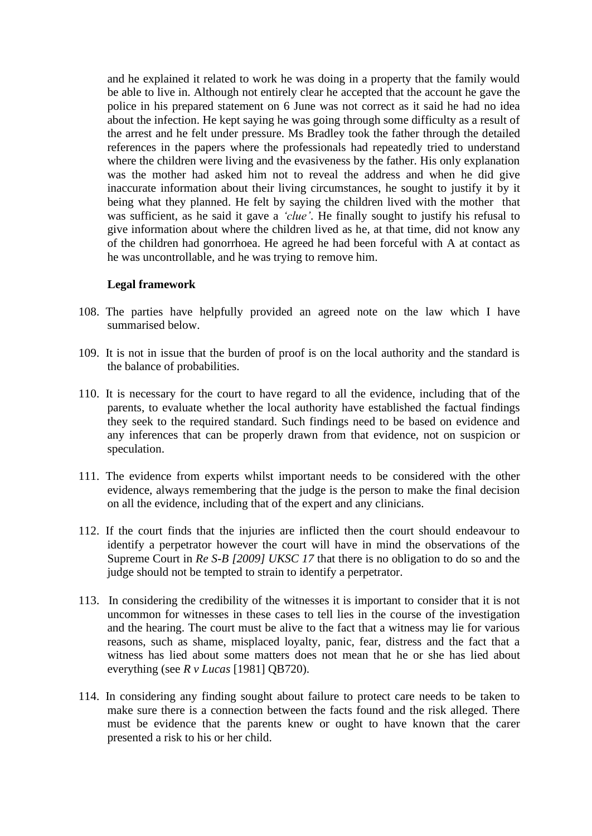and he explained it related to work he was doing in a property that the family would be able to live in. Although not entirely clear he accepted that the account he gave the police in his prepared statement on 6 June was not correct as it said he had no idea about the infection. He kept saying he was going through some difficulty as a result of the arrest and he felt under pressure. Ms Bradley took the father through the detailed references in the papers where the professionals had repeatedly tried to understand where the children were living and the evasiveness by the father. His only explanation was the mother had asked him not to reveal the address and when he did give inaccurate information about their living circumstances, he sought to justify it by it being what they planned. He felt by saying the children lived with the mother that was sufficient, as he said it gave a *'clue'*. He finally sought to justify his refusal to give information about where the children lived as he, at that time, did not know any of the children had gonorrhoea. He agreed he had been forceful with A at contact as he was uncontrollable, and he was trying to remove him.

#### **Legal framework**

- 108. The parties have helpfully provided an agreed note on the law which I have summarised below.
- 109. It is not in issue that the burden of proof is on the local authority and the standard is the balance of probabilities.
- 110. It is necessary for the court to have regard to all the evidence, including that of the parents, to evaluate whether the local authority have established the factual findings they seek to the required standard. Such findings need to be based on evidence and any inferences that can be properly drawn from that evidence, not on suspicion or speculation.
- 111. The evidence from experts whilst important needs to be considered with the other evidence, always remembering that the judge is the person to make the final decision on all the evidence, including that of the expert and any clinicians.
- 112. If the court finds that the injuries are inflicted then the court should endeavour to identify a perpetrator however the court will have in mind the observations of the Supreme Court in *Re S-B [2009] UKSC 17* that there is no obligation to do so and the judge should not be tempted to strain to identify a perpetrator.
- 113. In considering the credibility of the witnesses it is important to consider that it is not uncommon for witnesses in these cases to tell lies in the course of the investigation and the hearing. The court must be alive to the fact that a witness may lie for various reasons, such as shame, misplaced loyalty, panic, fear, distress and the fact that a witness has lied about some matters does not mean that he or she has lied about everything (see *R v Lucas* [1981] QB720).
- 114. In considering any finding sought about failure to protect care needs to be taken to make sure there is a connection between the facts found and the risk alleged. There must be evidence that the parents knew or ought to have known that the carer presented a risk to his or her child.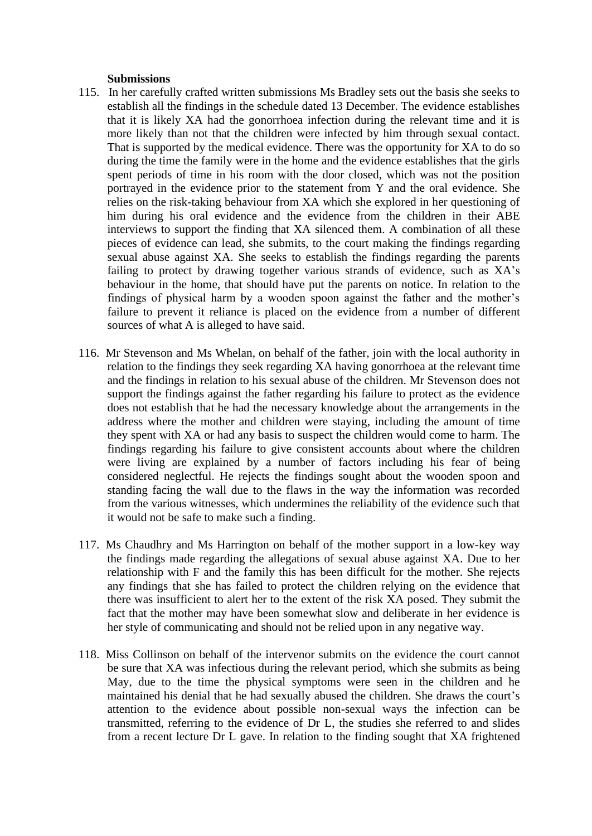#### **Submissions**

- 115. In her carefully crafted written submissions Ms Bradley sets out the basis she seeks to establish all the findings in the schedule dated 13 December. The evidence establishes that it is likely XA had the gonorrhoea infection during the relevant time and it is more likely than not that the children were infected by him through sexual contact. That is supported by the medical evidence. There was the opportunity for XA to do so during the time the family were in the home and the evidence establishes that the girls spent periods of time in his room with the door closed, which was not the position portrayed in the evidence prior to the statement from Y and the oral evidence. She relies on the risk-taking behaviour from XA which she explored in her questioning of him during his oral evidence and the evidence from the children in their ABE interviews to support the finding that XA silenced them. A combination of all these pieces of evidence can lead, she submits, to the court making the findings regarding sexual abuse against XA. She seeks to establish the findings regarding the parents failing to protect by drawing together various strands of evidence, such as XA's behaviour in the home, that should have put the parents on notice. In relation to the findings of physical harm by a wooden spoon against the father and the mother's failure to prevent it reliance is placed on the evidence from a number of different sources of what A is alleged to have said.
- 116. Mr Stevenson and Ms Whelan, on behalf of the father, join with the local authority in relation to the findings they seek regarding XA having gonorrhoea at the relevant time and the findings in relation to his sexual abuse of the children. Mr Stevenson does not support the findings against the father regarding his failure to protect as the evidence does not establish that he had the necessary knowledge about the arrangements in the address where the mother and children were staying, including the amount of time they spent with XA or had any basis to suspect the children would come to harm. The findings regarding his failure to give consistent accounts about where the children were living are explained by a number of factors including his fear of being considered neglectful. He rejects the findings sought about the wooden spoon and standing facing the wall due to the flaws in the way the information was recorded from the various witnesses, which undermines the reliability of the evidence such that it would not be safe to make such a finding.
- 117. Ms Chaudhry and Ms Harrington on behalf of the mother support in a low-key way the findings made regarding the allegations of sexual abuse against XA. Due to her relationship with F and the family this has been difficult for the mother. She rejects any findings that she has failed to protect the children relying on the evidence that there was insufficient to alert her to the extent of the risk XA posed. They submit the fact that the mother may have been somewhat slow and deliberate in her evidence is her style of communicating and should not be relied upon in any negative way.
- 118. Miss Collinson on behalf of the intervenor submits on the evidence the court cannot be sure that XA was infectious during the relevant period, which she submits as being May, due to the time the physical symptoms were seen in the children and he maintained his denial that he had sexually abused the children. She draws the court's attention to the evidence about possible non-sexual ways the infection can be transmitted, referring to the evidence of Dr L, the studies she referred to and slides from a recent lecture Dr L gave. In relation to the finding sought that XA frightened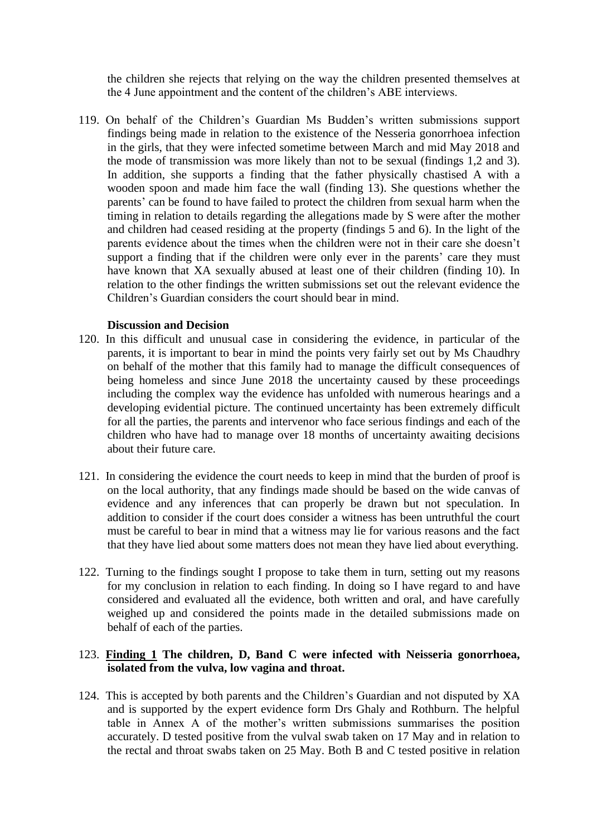the children she rejects that relying on the way the children presented themselves at the 4 June appointment and the content of the children's ABE interviews.

119. On behalf of the Children's Guardian Ms Budden's written submissions support findings being made in relation to the existence of the Nesseria gonorrhoea infection in the girls, that they were infected sometime between March and mid May 2018 and the mode of transmission was more likely than not to be sexual (findings 1,2 and 3). In addition, she supports a finding that the father physically chastised A with a wooden spoon and made him face the wall (finding 13). She questions whether the parents' can be found to have failed to protect the children from sexual harm when the timing in relation to details regarding the allegations made by S were after the mother and children had ceased residing at the property (findings 5 and 6). In the light of the parents evidence about the times when the children were not in their care she doesn't support a finding that if the children were only ever in the parents' care they must have known that XA sexually abused at least one of their children (finding 10). In relation to the other findings the written submissions set out the relevant evidence the Children's Guardian considers the court should bear in mind.

### **Discussion and Decision**

- 120. In this difficult and unusual case in considering the evidence, in particular of the parents, it is important to bear in mind the points very fairly set out by Ms Chaudhry on behalf of the mother that this family had to manage the difficult consequences of being homeless and since June 2018 the uncertainty caused by these proceedings including the complex way the evidence has unfolded with numerous hearings and a developing evidential picture. The continued uncertainty has been extremely difficult for all the parties, the parents and intervenor who face serious findings and each of the children who have had to manage over 18 months of uncertainty awaiting decisions about their future care.
- 121. In considering the evidence the court needs to keep in mind that the burden of proof is on the local authority, that any findings made should be based on the wide canvas of evidence and any inferences that can properly be drawn but not speculation. In addition to consider if the court does consider a witness has been untruthful the court must be careful to bear in mind that a witness may lie for various reasons and the fact that they have lied about some matters does not mean they have lied about everything.
- 122. Turning to the findings sought I propose to take them in turn, setting out my reasons for my conclusion in relation to each finding. In doing so I have regard to and have considered and evaluated all the evidence, both written and oral, and have carefully weighed up and considered the points made in the detailed submissions made on behalf of each of the parties.

### 123. **Finding 1 The children, D, Band C were infected with Neisseria gonorrhoea, isolated from the vulva, low vagina and throat.**

124. This is accepted by both parents and the Children's Guardian and not disputed by XA and is supported by the expert evidence form Drs Ghaly and Rothburn. The helpful table in Annex A of the mother's written submissions summarises the position accurately. D tested positive from the vulval swab taken on 17 May and in relation to the rectal and throat swabs taken on 25 May. Both B and C tested positive in relation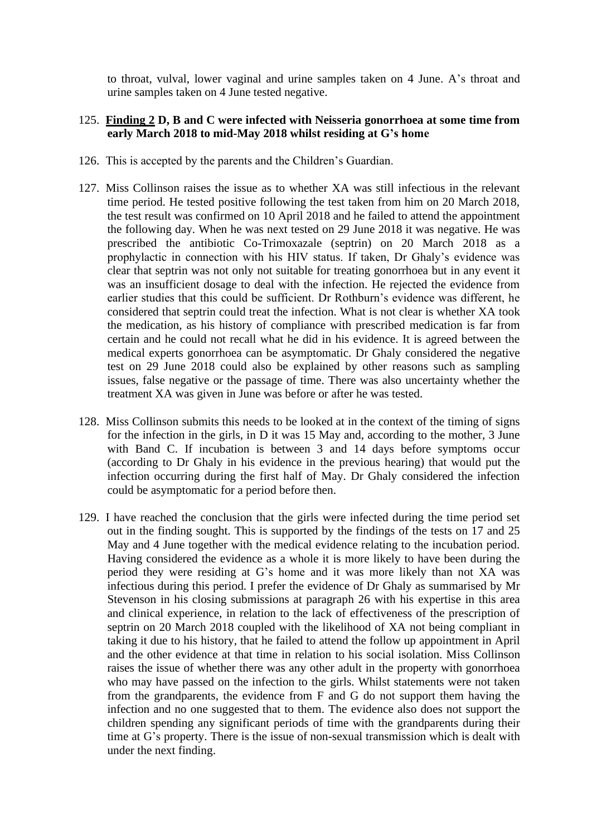to throat, vulval, lower vaginal and urine samples taken on 4 June. A's throat and urine samples taken on 4 June tested negative.

### 125. **Finding 2 D, B and C were infected with Neisseria gonorrhoea at some time from early March 2018 to mid-May 2018 whilst residing at G's home**

- 126. This is accepted by the parents and the Children's Guardian.
- 127. Miss Collinson raises the issue as to whether XA was still infectious in the relevant time period. He tested positive following the test taken from him on 20 March 2018, the test result was confirmed on 10 April 2018 and he failed to attend the appointment the following day. When he was next tested on 29 June 2018 it was negative. He was prescribed the antibiotic Co-Trimoxazale (septrin) on 20 March 2018 as a prophylactic in connection with his HIV status. If taken, Dr Ghaly's evidence was clear that septrin was not only not suitable for treating gonorrhoea but in any event it was an insufficient dosage to deal with the infection. He rejected the evidence from earlier studies that this could be sufficient. Dr Rothburn's evidence was different, he considered that septrin could treat the infection. What is not clear is whether XA took the medication, as his history of compliance with prescribed medication is far from certain and he could not recall what he did in his evidence. It is agreed between the medical experts gonorrhoea can be asymptomatic. Dr Ghaly considered the negative test on 29 June 2018 could also be explained by other reasons such as sampling issues, false negative or the passage of time. There was also uncertainty whether the treatment XA was given in June was before or after he was tested.
- 128. Miss Collinson submits this needs to be looked at in the context of the timing of signs for the infection in the girls, in D it was 15 May and, according to the mother, 3 June with Band C. If incubation is between 3 and 14 days before symptoms occur (according to Dr Ghaly in his evidence in the previous hearing) that would put the infection occurring during the first half of May. Dr Ghaly considered the infection could be asymptomatic for a period before then.
- 129. I have reached the conclusion that the girls were infected during the time period set out in the finding sought. This is supported by the findings of the tests on 17 and 25 May and 4 June together with the medical evidence relating to the incubation period. Having considered the evidence as a whole it is more likely to have been during the period they were residing at G's home and it was more likely than not XA was infectious during this period. I prefer the evidence of Dr Ghaly as summarised by Mr Stevenson in his closing submissions at paragraph 26 with his expertise in this area and clinical experience, in relation to the lack of effectiveness of the prescription of septrin on 20 March 2018 coupled with the likelihood of XA not being compliant in taking it due to his history, that he failed to attend the follow up appointment in April and the other evidence at that time in relation to his social isolation. Miss Collinson raises the issue of whether there was any other adult in the property with gonorrhoea who may have passed on the infection to the girls. Whilst statements were not taken from the grandparents, the evidence from F and G do not support them having the infection and no one suggested that to them. The evidence also does not support the children spending any significant periods of time with the grandparents during their time at G's property. There is the issue of non-sexual transmission which is dealt with under the next finding.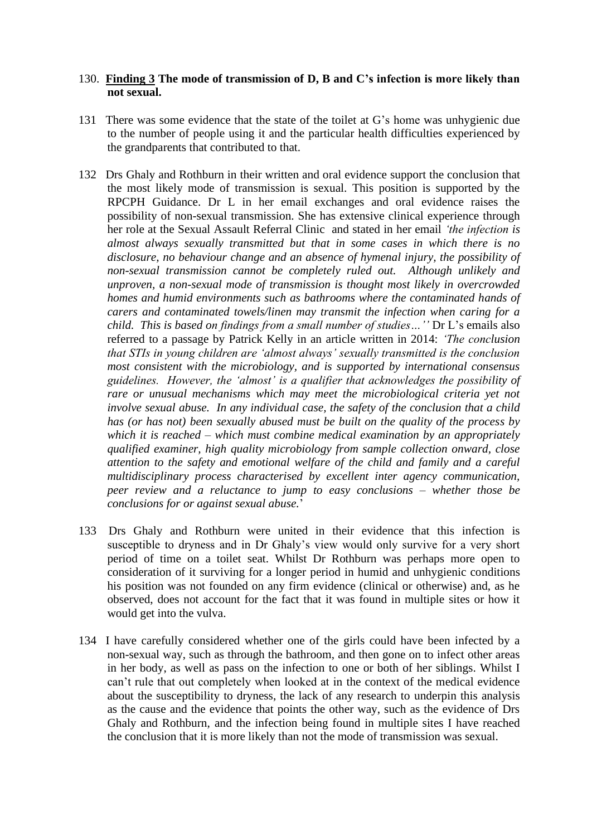#### 130. **Finding 3 The mode of transmission of D, B and C's infection is more likely than not sexual.**

- 131 There was some evidence that the state of the toilet at G's home was unhygienic due to the number of people using it and the particular health difficulties experienced by the grandparents that contributed to that.
- 132 Drs Ghaly and Rothburn in their written and oral evidence support the conclusion that the most likely mode of transmission is sexual. This position is supported by the RPCPH Guidance. Dr L in her email exchanges and oral evidence raises the possibility of non-sexual transmission. She has extensive clinical experience through her role at the Sexual Assault Referral Clinic and stated in her email *'the infection is almost always sexually transmitted but that in some cases in which there is no disclosure, no behaviour change and an absence of hymenal injury, the possibility of non-sexual transmission cannot be completely ruled out. Although unlikely and unproven, a non-sexual mode of transmission is thought most likely in overcrowded homes and humid environments such as bathrooms where the contaminated hands of carers and contaminated towels/linen may transmit the infection when caring for a child. This is based on findings from a small number of studies…''* Dr L's emails also referred to a passage by Patrick Kelly in an article written in 2014: *'The conclusion that STIs in young children are 'almost always' sexually transmitted is the conclusion most consistent with the microbiology, and is supported by international consensus guidelines. However, the 'almost' is a qualifier that acknowledges the possibility of*  rare or unusual mechanisms which may meet the microbiological criteria yet not *involve sexual abuse. In any individual case, the safety of the conclusion that a child has (or has not) been sexually abused must be built on the quality of the process by which it is reached – which must combine medical examination by an appropriately qualified examiner, high quality microbiology from sample collection onward, close attention to the safety and emotional welfare of the child and family and a careful multidisciplinary process characterised by excellent inter agency communication, peer review and a reluctance to jump to easy conclusions – whether those be conclusions for or against sexual abuse.*'
- 133 Drs Ghaly and Rothburn were united in their evidence that this infection is susceptible to dryness and in Dr Ghaly's view would only survive for a very short period of time on a toilet seat. Whilst Dr Rothburn was perhaps more open to consideration of it surviving for a longer period in humid and unhygienic conditions his position was not founded on any firm evidence (clinical or otherwise) and, as he observed, does not account for the fact that it was found in multiple sites or how it would get into the vulva.
- 134 I have carefully considered whether one of the girls could have been infected by a non-sexual way, such as through the bathroom, and then gone on to infect other areas in her body, as well as pass on the infection to one or both of her siblings. Whilst I can't rule that out completely when looked at in the context of the medical evidence about the susceptibility to dryness, the lack of any research to underpin this analysis as the cause and the evidence that points the other way, such as the evidence of Drs Ghaly and Rothburn, and the infection being found in multiple sites I have reached the conclusion that it is more likely than not the mode of transmission was sexual.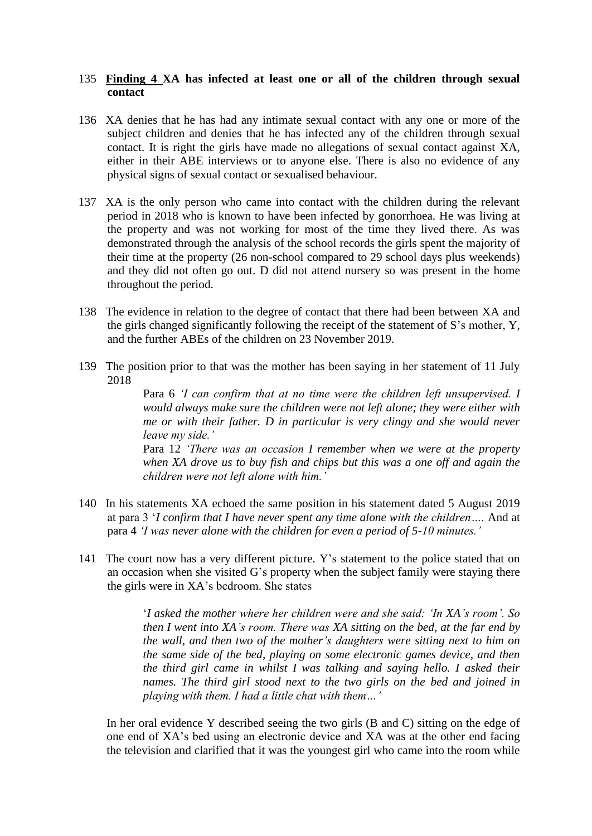### 135 **Finding 4 XA has infected at least one or all of the children through sexual contact**

- 136 XA denies that he has had any intimate sexual contact with any one or more of the subject children and denies that he has infected any of the children through sexual contact. It is right the girls have made no allegations of sexual contact against XA, either in their ABE interviews or to anyone else. There is also no evidence of any physical signs of sexual contact or sexualised behaviour.
- 137 XA is the only person who came into contact with the children during the relevant period in 2018 who is known to have been infected by gonorrhoea. He was living at the property and was not working for most of the time they lived there. As was demonstrated through the analysis of the school records the girls spent the majority of their time at the property (26 non-school compared to 29 school days plus weekends) and they did not often go out. D did not attend nursery so was present in the home throughout the period.
- 138 The evidence in relation to the degree of contact that there had been between XA and the girls changed significantly following the receipt of the statement of S's mother, Y, and the further ABEs of the children on 23 November 2019.
- 139 The position prior to that was the mother has been saying in her statement of 11 July 2018

Para 6 *'I can confirm that at no time were the children left unsupervised. I would always make sure the children were not left alone; they were either with me or with their father. D in particular is very clingy and she would never leave my side.'* 

Para 12 *'There was an occasion I remember when we were at the property when XA drove us to buy fish and chips but this was a one off and again the children were not left alone with him.'*

- 140 In his statements XA echoed the same position in his statement dated 5 August 2019 at para 3 '*I confirm that I have never spent any time alone with the children….* And at para 4 *'I was never alone with the children for even a period of 5-10 minutes.'*
- 141 The court now has a very different picture. Y's statement to the police stated that on an occasion when she visited G's property when the subject family were staying there the girls were in XA's bedroom. She states

'*I asked the mother where her children were and she said: 'In XA's room'. So then I went into XA's room. There was XA sitting on the bed, at the far end by the wall, and then two of the mother's daughters were sitting next to him on the same side of the bed, playing on some electronic games device, and then the third girl came in whilst I was talking and saying hello. I asked their names. The third girl stood next to the two girls on the bed and joined in playing with them. I had a little chat with them…'* 

In her oral evidence Y described seeing the two girls (B and C) sitting on the edge of one end of XA's bed using an electronic device and XA was at the other end facing the television and clarified that it was the youngest girl who came into the room while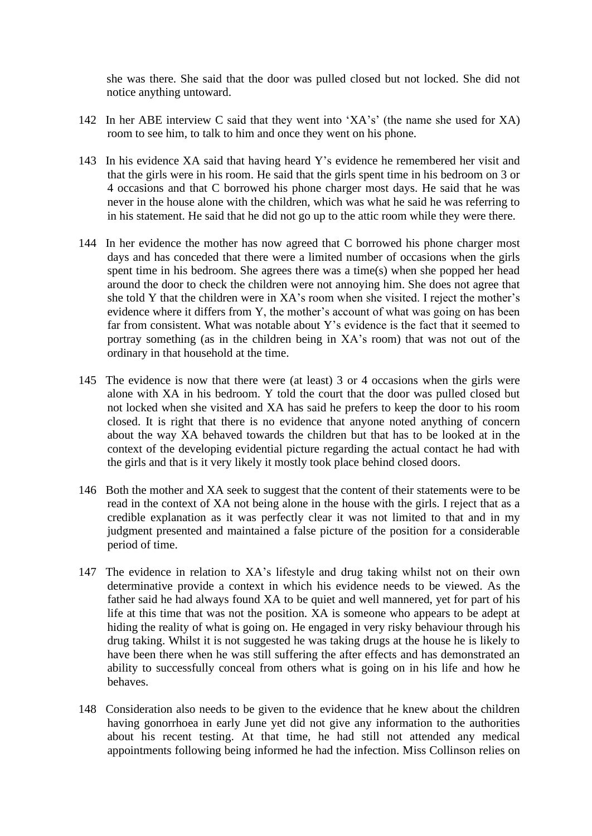she was there. She said that the door was pulled closed but not locked. She did not notice anything untoward.

- 142 In her ABE interview C said that they went into 'XA's' (the name she used for XA) room to see him, to talk to him and once they went on his phone.
- 143 In his evidence XA said that having heard Y's evidence he remembered her visit and that the girls were in his room. He said that the girls spent time in his bedroom on 3 or 4 occasions and that C borrowed his phone charger most days. He said that he was never in the house alone with the children, which was what he said he was referring to in his statement. He said that he did not go up to the attic room while they were there.
- 144 In her evidence the mother has now agreed that C borrowed his phone charger most days and has conceded that there were a limited number of occasions when the girls spent time in his bedroom. She agrees there was a time(s) when she popped her head around the door to check the children were not annoying him. She does not agree that she told Y that the children were in XA's room when she visited. I reject the mother's evidence where it differs from Y, the mother's account of what was going on has been far from consistent. What was notable about Y's evidence is the fact that it seemed to portray something (as in the children being in XA's room) that was not out of the ordinary in that household at the time.
- 145 The evidence is now that there were (at least) 3 or 4 occasions when the girls were alone with XA in his bedroom. Y told the court that the door was pulled closed but not locked when she visited and XA has said he prefers to keep the door to his room closed. It is right that there is no evidence that anyone noted anything of concern about the way XA behaved towards the children but that has to be looked at in the context of the developing evidential picture regarding the actual contact he had with the girls and that is it very likely it mostly took place behind closed doors.
- 146 Both the mother and XA seek to suggest that the content of their statements were to be read in the context of XA not being alone in the house with the girls. I reject that as a credible explanation as it was perfectly clear it was not limited to that and in my judgment presented and maintained a false picture of the position for a considerable period of time.
- 147 The evidence in relation to XA's lifestyle and drug taking whilst not on their own determinative provide a context in which his evidence needs to be viewed. As the father said he had always found XA to be quiet and well mannered, yet for part of his life at this time that was not the position. XA is someone who appears to be adept at hiding the reality of what is going on. He engaged in very risky behaviour through his drug taking. Whilst it is not suggested he was taking drugs at the house he is likely to have been there when he was still suffering the after effects and has demonstrated an ability to successfully conceal from others what is going on in his life and how he behaves.
- 148 Consideration also needs to be given to the evidence that he knew about the children having gonorrhoea in early June yet did not give any information to the authorities about his recent testing. At that time, he had still not attended any medical appointments following being informed he had the infection. Miss Collinson relies on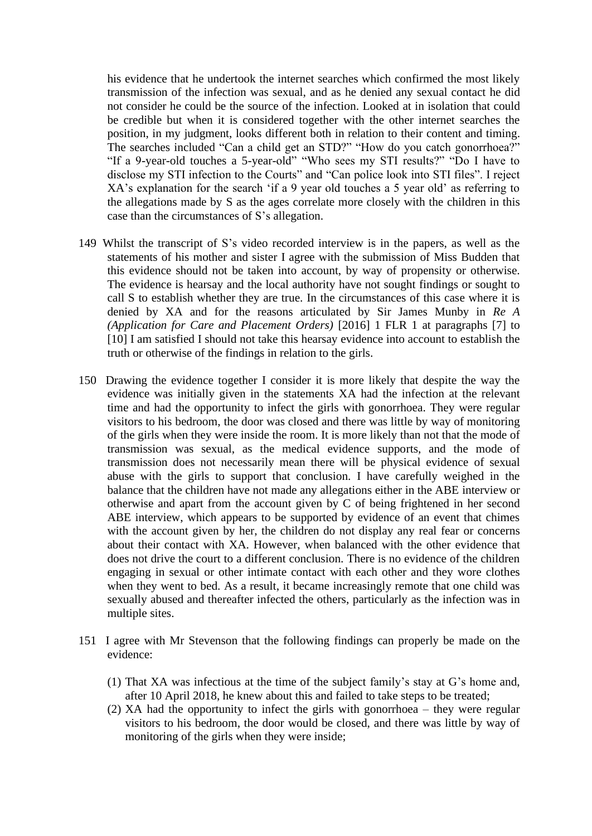his evidence that he undertook the internet searches which confirmed the most likely transmission of the infection was sexual, and as he denied any sexual contact he did not consider he could be the source of the infection. Looked at in isolation that could be credible but when it is considered together with the other internet searches the position, in my judgment, looks different both in relation to their content and timing. The searches included "Can a child get an STD?" "How do you catch gonorrhoea?" "If a 9-year-old touches a 5-year-old" "Who sees my STI results?" "Do I have to disclose my STI infection to the Courts" and "Can police look into STI files". I reject XA's explanation for the search 'if a 9 year old touches a 5 year old' as referring to the allegations made by S as the ages correlate more closely with the children in this case than the circumstances of S's allegation.

- 149 Whilst the transcript of S's video recorded interview is in the papers, as well as the statements of his mother and sister I agree with the submission of Miss Budden that this evidence should not be taken into account, by way of propensity or otherwise. The evidence is hearsay and the local authority have not sought findings or sought to call S to establish whether they are true. In the circumstances of this case where it is denied by XA and for the reasons articulated by Sir James Munby in *Re A (Application for Care and Placement Orders)* [2016] 1 FLR 1 at paragraphs [7] to [10] I am satisfied I should not take this hearsay evidence into account to establish the truth or otherwise of the findings in relation to the girls.
- 150 Drawing the evidence together I consider it is more likely that despite the way the evidence was initially given in the statements XA had the infection at the relevant time and had the opportunity to infect the girls with gonorrhoea. They were regular visitors to his bedroom, the door was closed and there was little by way of monitoring of the girls when they were inside the room. It is more likely than not that the mode of transmission was sexual, as the medical evidence supports, and the mode of transmission does not necessarily mean there will be physical evidence of sexual abuse with the girls to support that conclusion. I have carefully weighed in the balance that the children have not made any allegations either in the ABE interview or otherwise and apart from the account given by C of being frightened in her second ABE interview, which appears to be supported by evidence of an event that chimes with the account given by her, the children do not display any real fear or concerns about their contact with XA. However, when balanced with the other evidence that does not drive the court to a different conclusion. There is no evidence of the children engaging in sexual or other intimate contact with each other and they wore clothes when they went to bed. As a result, it became increasingly remote that one child was sexually abused and thereafter infected the others, particularly as the infection was in multiple sites.
- 151 I agree with Mr Stevenson that the following findings can properly be made on the evidence:
	- (1) That XA was infectious at the time of the subject family's stay at G's home and, after 10 April 2018, he knew about this and failed to take steps to be treated;
	- (2) XA had the opportunity to infect the girls with gonorrhoea they were regular visitors to his bedroom, the door would be closed, and there was little by way of monitoring of the girls when they were inside;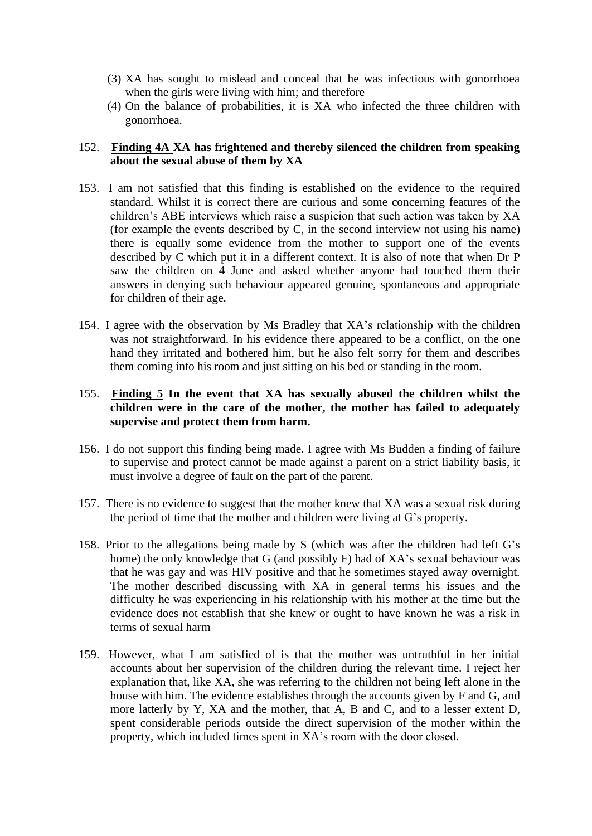- (3) XA has sought to mislead and conceal that he was infectious with gonorrhoea when the girls were living with him; and therefore
- (4) On the balance of probabilities, it is XA who infected the three children with gonorrhoea.

## 152. **Finding 4A XA has frightened and thereby silenced the children from speaking about the sexual abuse of them by XA**

- 153. I am not satisfied that this finding is established on the evidence to the required standard. Whilst it is correct there are curious and some concerning features of the children's ABE interviews which raise a suspicion that such action was taken by XA (for example the events described by C, in the second interview not using his name) there is equally some evidence from the mother to support one of the events described by C which put it in a different context. It is also of note that when Dr P saw the children on 4 June and asked whether anyone had touched them their answers in denying such behaviour appeared genuine, spontaneous and appropriate for children of their age.
- 154. I agree with the observation by Ms Bradley that XA's relationship with the children was not straightforward. In his evidence there appeared to be a conflict, on the one hand they irritated and bothered him, but he also felt sorry for them and describes them coming into his room and just sitting on his bed or standing in the room.

## 155. **Finding 5 In the event that XA has sexually abused the children whilst the children were in the care of the mother, the mother has failed to adequately supervise and protect them from harm.**

- 156. I do not support this finding being made. I agree with Ms Budden a finding of failure to supervise and protect cannot be made against a parent on a strict liability basis, it must involve a degree of fault on the part of the parent.
- 157. There is no evidence to suggest that the mother knew that XA was a sexual risk during the period of time that the mother and children were living at G's property.
- 158. Prior to the allegations being made by S (which was after the children had left G's home) the only knowledge that G (and possibly F) had of XA's sexual behaviour was that he was gay and was HIV positive and that he sometimes stayed away overnight. The mother described discussing with XA in general terms his issues and the difficulty he was experiencing in his relationship with his mother at the time but the evidence does not establish that she knew or ought to have known he was a risk in terms of sexual harm
- 159. However, what I am satisfied of is that the mother was untruthful in her initial accounts about her supervision of the children during the relevant time. I reject her explanation that, like XA, she was referring to the children not being left alone in the house with him. The evidence establishes through the accounts given by F and G, and more latterly by Y, XA and the mother, that A, B and C, and to a lesser extent D, spent considerable periods outside the direct supervision of the mother within the property, which included times spent in XA's room with the door closed.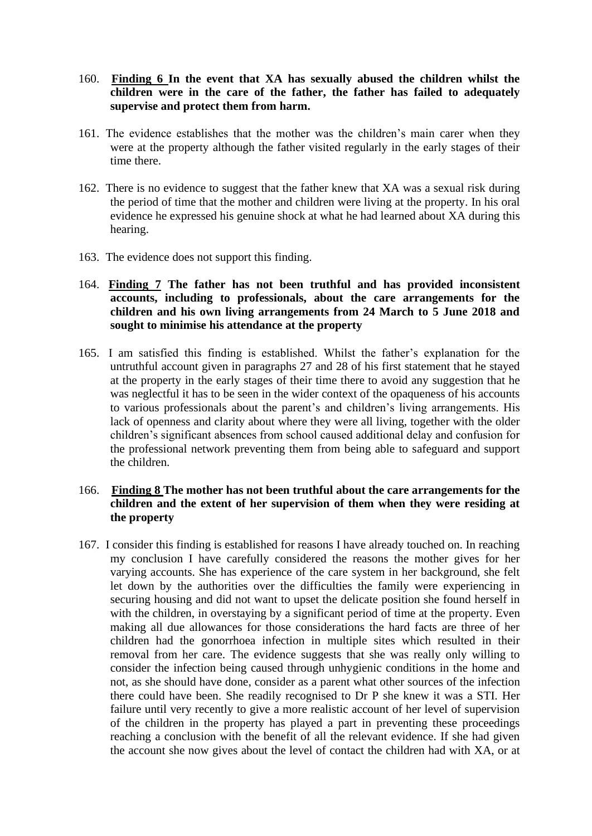- 160. **Finding 6 In the event that XA has sexually abused the children whilst the children were in the care of the father, the father has failed to adequately supervise and protect them from harm.**
- 161. The evidence establishes that the mother was the children's main carer when they were at the property although the father visited regularly in the early stages of their time there.
- 162. There is no evidence to suggest that the father knew that XA was a sexual risk during the period of time that the mother and children were living at the property. In his oral evidence he expressed his genuine shock at what he had learned about XA during this hearing.
- 163. The evidence does not support this finding.
- 164. **Finding 7 The father has not been truthful and has provided inconsistent accounts, including to professionals, about the care arrangements for the children and his own living arrangements from 24 March to 5 June 2018 and sought to minimise his attendance at the property**
- 165. I am satisfied this finding is established. Whilst the father's explanation for the untruthful account given in paragraphs 27 and 28 of his first statement that he stayed at the property in the early stages of their time there to avoid any suggestion that he was neglectful it has to be seen in the wider context of the opaqueness of his accounts to various professionals about the parent's and children's living arrangements. His lack of openness and clarity about where they were all living, together with the older children's significant absences from school caused additional delay and confusion for the professional network preventing them from being able to safeguard and support the children.

# 166. **Finding 8 The mother has not been truthful about the care arrangements for the children and the extent of her supervision of them when they were residing at the property**

167. I consider this finding is established for reasons I have already touched on. In reaching my conclusion I have carefully considered the reasons the mother gives for her varying accounts. She has experience of the care system in her background, she felt let down by the authorities over the difficulties the family were experiencing in securing housing and did not want to upset the delicate position she found herself in with the children, in overstaying by a significant period of time at the property. Even making all due allowances for those considerations the hard facts are three of her children had the gonorrhoea infection in multiple sites which resulted in their removal from her care. The evidence suggests that she was really only willing to consider the infection being caused through unhygienic conditions in the home and not, as she should have done, consider as a parent what other sources of the infection there could have been. She readily recognised to Dr P she knew it was a STI. Her failure until very recently to give a more realistic account of her level of supervision of the children in the property has played a part in preventing these proceedings reaching a conclusion with the benefit of all the relevant evidence. If she had given the account she now gives about the level of contact the children had with XA, or at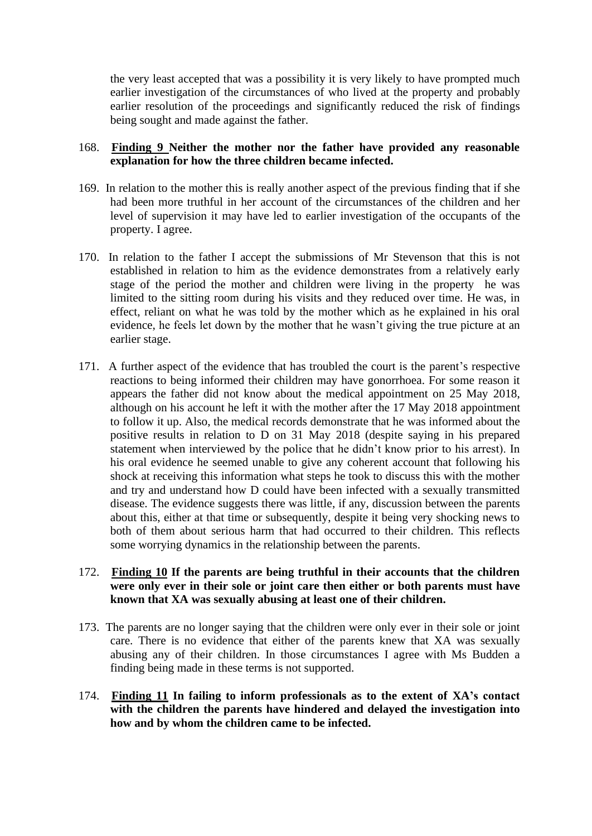the very least accepted that was a possibility it is very likely to have prompted much earlier investigation of the circumstances of who lived at the property and probably earlier resolution of the proceedings and significantly reduced the risk of findings being sought and made against the father.

## 168. **Finding 9 Neither the mother nor the father have provided any reasonable explanation for how the three children became infected.**

- 169. In relation to the mother this is really another aspect of the previous finding that if she had been more truthful in her account of the circumstances of the children and her level of supervision it may have led to earlier investigation of the occupants of the property. I agree.
- 170. In relation to the father I accept the submissions of Mr Stevenson that this is not established in relation to him as the evidence demonstrates from a relatively early stage of the period the mother and children were living in the property he was limited to the sitting room during his visits and they reduced over time. He was, in effect, reliant on what he was told by the mother which as he explained in his oral evidence, he feels let down by the mother that he wasn't giving the true picture at an earlier stage.
- 171. A further aspect of the evidence that has troubled the court is the parent's respective reactions to being informed their children may have gonorrhoea. For some reason it appears the father did not know about the medical appointment on 25 May 2018, although on his account he left it with the mother after the 17 May 2018 appointment to follow it up. Also, the medical records demonstrate that he was informed about the positive results in relation to D on 31 May 2018 (despite saying in his prepared statement when interviewed by the police that he didn't know prior to his arrest). In his oral evidence he seemed unable to give any coherent account that following his shock at receiving this information what steps he took to discuss this with the mother and try and understand how D could have been infected with a sexually transmitted disease. The evidence suggests there was little, if any, discussion between the parents about this, either at that time or subsequently, despite it being very shocking news to both of them about serious harm that had occurred to their children. This reflects some worrying dynamics in the relationship between the parents.

## 172. **Finding 10 If the parents are being truthful in their accounts that the children were only ever in their sole or joint care then either or both parents must have known that XA was sexually abusing at least one of their children.**

- 173. The parents are no longer saying that the children were only ever in their sole or joint care. There is no evidence that either of the parents knew that XA was sexually abusing any of their children. In those circumstances I agree with Ms Budden a finding being made in these terms is not supported.
- 174. **Finding 11 In failing to inform professionals as to the extent of XA's contact with the children the parents have hindered and delayed the investigation into how and by whom the children came to be infected.**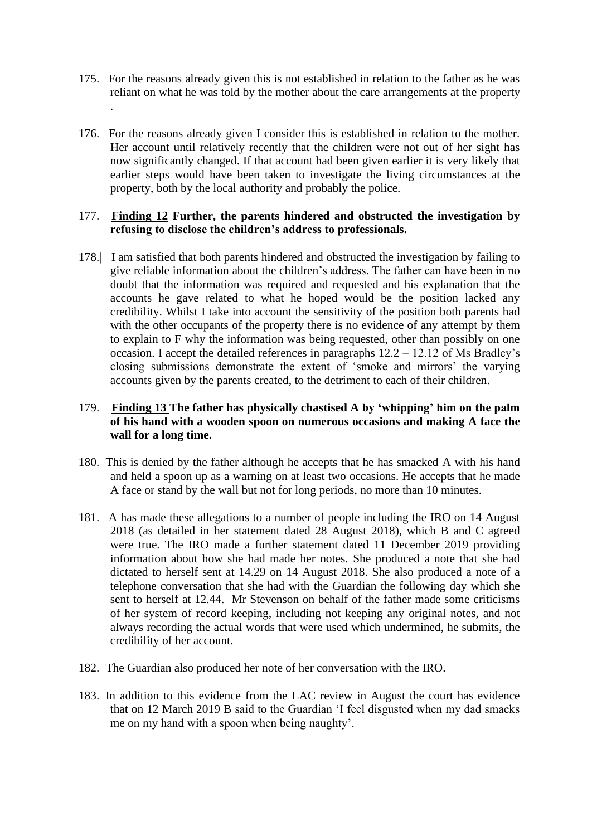175. For the reasons already given this is not established in relation to the father as he was reliant on what he was told by the mother about the care arrangements at the property

.

176. For the reasons already given I consider this is established in relation to the mother. Her account until relatively recently that the children were not out of her sight has now significantly changed. If that account had been given earlier it is very likely that earlier steps would have been taken to investigate the living circumstances at the property, both by the local authority and probably the police.

# 177. **Finding 12 Further, the parents hindered and obstructed the investigation by refusing to disclose the children's address to professionals.**

178.| I am satisfied that both parents hindered and obstructed the investigation by failing to give reliable information about the children's address. The father can have been in no doubt that the information was required and requested and his explanation that the accounts he gave related to what he hoped would be the position lacked any credibility. Whilst I take into account the sensitivity of the position both parents had with the other occupants of the property there is no evidence of any attempt by them to explain to F why the information was being requested, other than possibly on one occasion. I accept the detailed references in paragraphs 12.2 – 12.12 of Ms Bradley's closing submissions demonstrate the extent of 'smoke and mirrors' the varying accounts given by the parents created, to the detriment to each of their children.

# 179. **Finding 13 The father has physically chastised A by 'whipping' him on the palm of his hand with a wooden spoon on numerous occasions and making A face the wall for a long time.**

- 180. This is denied by the father although he accepts that he has smacked A with his hand and held a spoon up as a warning on at least two occasions. He accepts that he made A face or stand by the wall but not for long periods, no more than 10 minutes.
- 181. A has made these allegations to a number of people including the IRO on 14 August 2018 (as detailed in her statement dated 28 August 2018), which B and C agreed were true. The IRO made a further statement dated 11 December 2019 providing information about how she had made her notes. She produced a note that she had dictated to herself sent at 14.29 on 14 August 2018. She also produced a note of a telephone conversation that she had with the Guardian the following day which she sent to herself at 12.44. Mr Stevenson on behalf of the father made some criticisms of her system of record keeping, including not keeping any original notes, and not always recording the actual words that were used which undermined, he submits, the credibility of her account.
- 182. The Guardian also produced her note of her conversation with the IRO.
- 183. In addition to this evidence from the LAC review in August the court has evidence that on 12 March 2019 B said to the Guardian 'I feel disgusted when my dad smacks me on my hand with a spoon when being naughty'.